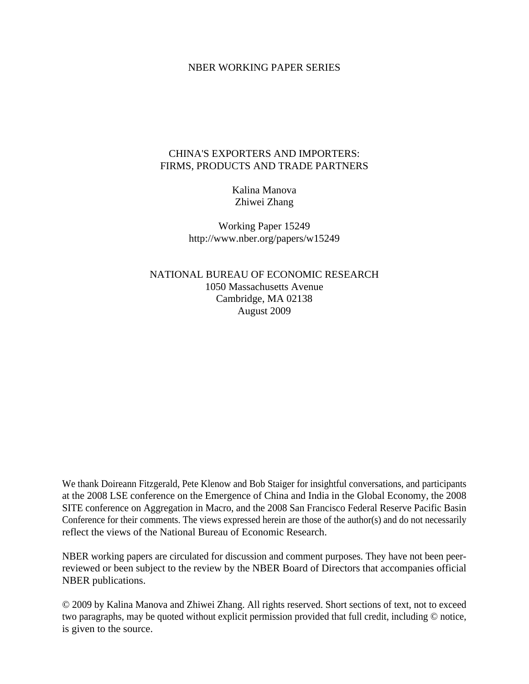#### NBER WORKING PAPER SERIES

#### CHINA'S EXPORTERS AND IMPORTERS: FIRMS, PRODUCTS AND TRADE PARTNERS

Kalina Manova Zhiwei Zhang

Working Paper 15249 http://www.nber.org/papers/w15249

NATIONAL BUREAU OF ECONOMIC RESEARCH 1050 Massachusetts Avenue Cambridge, MA 02138 August 2009

We thank Doireann Fitzgerald, Pete Klenow and Bob Staiger for insightful conversations, and participants at the 2008 LSE conference on the Emergence of China and India in the Global Economy, the 2008 SITE conference on Aggregation in Macro, and the 2008 San Francisco Federal Reserve Pacific Basin Conference for their comments. The views expressed herein are those of the author(s) and do not necessarily reflect the views of the National Bureau of Economic Research.

NBER working papers are circulated for discussion and comment purposes. They have not been peerreviewed or been subject to the review by the NBER Board of Directors that accompanies official NBER publications.

© 2009 by Kalina Manova and Zhiwei Zhang. All rights reserved. Short sections of text, not to exceed two paragraphs, may be quoted without explicit permission provided that full credit, including © notice, is given to the source.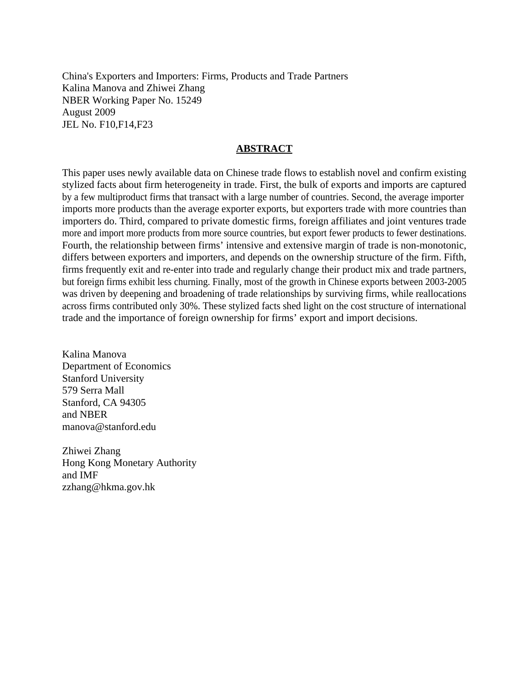China's Exporters and Importers: Firms, Products and Trade Partners Kalina Manova and Zhiwei Zhang NBER Working Paper No. 15249 August 2009 JEL No. F10,F14,F23

#### **ABSTRACT**

This paper uses newly available data on Chinese trade flows to establish novel and confirm existing stylized facts about firm heterogeneity in trade. First, the bulk of exports and imports are captured by a few multiproduct firms that transact with a large number of countries. Second, the average importer imports more products than the average exporter exports, but exporters trade with more countries than importers do. Third, compared to private domestic firms, foreign affiliates and joint ventures trade more and import more products from more source countries, but export fewer products to fewer destinations. Fourth, the relationship between firms' intensive and extensive margin of trade is non-monotonic, differs between exporters and importers, and depends on the ownership structure of the firm. Fifth, firms frequently exit and re-enter into trade and regularly change their product mix and trade partners, but foreign firms exhibit less churning. Finally, most of the growth in Chinese exports between 2003-2005 was driven by deepening and broadening of trade relationships by surviving firms, while reallocations across firms contributed only 30%. These stylized facts shed light on the cost structure of international trade and the importance of foreign ownership for firms' export and import decisions.

Kalina Manova Department of Economics Stanford University 579 Serra Mall Stanford, CA 94305 and NBER manova@stanford.edu

Zhiwei Zhang Hong Kong Monetary Authority and IMF zzhang@hkma.gov.hk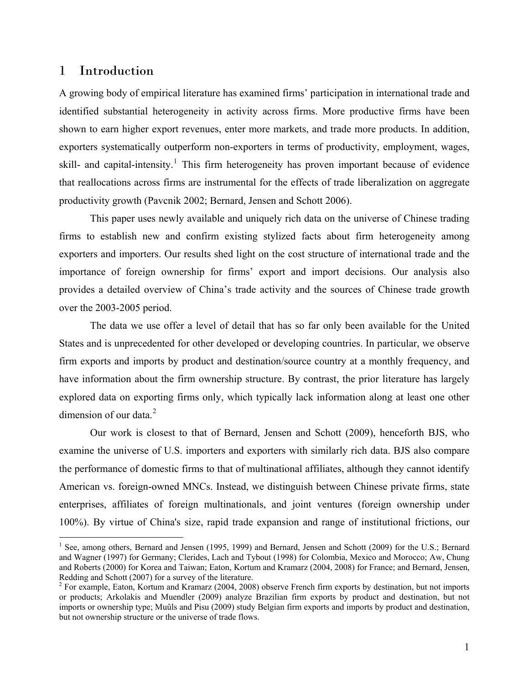## 1 Introduction

 $\overline{a}$ 

A growing body of empirical literature has examined firms' participation in international trade and identified substantial heterogeneity in activity across firms. More productive firms have been shown to earn higher export revenues, enter more markets, and trade more products. In addition, exporters systematically outperform non-exporters in terms of productivity, employment, wages, skill- and capital-intensity.<sup>[1](#page-2-0)</sup> This firm heterogeneity has proven important because of evidence that reallocations across firms are instrumental for the effects of trade liberalization on aggregate productivity growth (Pavcnik 2002; Bernard, Jensen and Schott 2006).

This paper uses newly available and uniquely rich data on the universe of Chinese trading firms to establish new and confirm existing stylized facts about firm heterogeneity among exporters and importers. Our results shed light on the cost structure of international trade and the importance of foreign ownership for firms' export and import decisions. Our analysis also provides a detailed overview of China's trade activity and the sources of Chinese trade growth over the 2003-2005 period.

The data we use offer a level of detail that has so far only been available for the United States and is unprecedented for other developed or developing countries. In particular, we observe firm exports and imports by product and destination/source country at a monthly frequency, and have information about the firm ownership structure. By contrast, the prior literature has largely explored data on exporting firms only, which typically lack information along at least one other dimension of our data  $2<sup>2</sup>$  $2<sup>2</sup>$ 

Our work is closest to that of Bernard, Jensen and Schott (2009), henceforth BJS, who examine the universe of U.S. importers and exporters with similarly rich data. BJS also compare the performance of domestic firms to that of multinational affiliates, although they cannot identify American vs. foreign-owned MNCs. Instead, we distinguish between Chinese private firms, state enterprises, affiliates of foreign multinationals, and joint ventures (foreign ownership under 100%). By virtue of China's size, rapid trade expansion and range of institutional frictions, our

<span id="page-2-0"></span><sup>&</sup>lt;sup>1</sup> See, among others, Bernard and Jensen (1995, 1999) and Bernard, Jensen and Schott (2009) for the U.S.; Bernard and Wagner (1997) for Germany; Clerides, Lach and Tybout (1998) for Colombia, Mexico and Morocco; Aw, Chung and Roberts (2000) for Korea and Taiwan; Eaton, Kortum and Kramarz (2004, 2008) for France; and Bernard, Jensen, Redding and Schott (2007) for a survey of the literature.

<span id="page-2-1"></span> $2^2$  For example, Eaton, Kortum and Kramarz (2004, 2008) observe French firm exports by destination, but not imports or products; Arkolakis and Muendler (2009) analyze Brazilian firm exports by product and destination, but not imports or ownership type; Muûls and Pisu (2009) study Belgian firm exports and imports by product and destination, but not ownership structure or the universe of trade flows.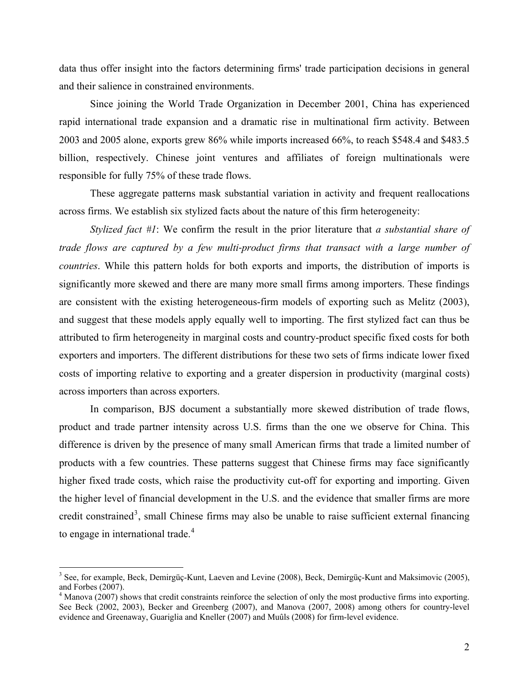data thus offer insight into the factors determining firms' trade participation decisions in general and their salience in constrained environments.

Since joining the World Trade Organization in December 2001, China has experienced rapid international trade expansion and a dramatic rise in multinational firm activity. Between 2003 and 2005 alone, exports grew 86% while imports increased 66%, to reach \$548.4 and \$483.5 billion, respectively. Chinese joint ventures and affiliates of foreign multinationals were responsible for fully 75% of these trade flows.

These aggregate patterns mask substantial variation in activity and frequent reallocations across firms. We establish six stylized facts about the nature of this firm heterogeneity:

*Stylized fact #1*: We confirm the result in the prior literature that *a substantial share of trade flows are captured by a few multi‐product firms that transact with a large number of countries*. While this pattern holds for both exports and imports, the distribution of imports is significantly more skewed and there are many more small firms among importers. These findings are consistent with the existing heterogeneous-firm models of exporting such as Melitz (2003), and suggest that these models apply equally well to importing. The first stylized fact can thus be attributed to firm heterogeneity in marginal costs and country-product specific fixed costs for both exporters and importers. The different distributions for these two sets of firms indicate lower fixed costs of importing relative to exporting and a greater dispersion in productivity (marginal costs) across importers than across exporters.

In comparison, BJS document a substantially more skewed distribution of trade flows, product and trade partner intensity across U.S. firms than the one we observe for China. This difference is driven by the presence of many small American firms that trade a limited number of products with a few countries. These patterns suggest that Chinese firms may face significantly higher fixed trade costs, which raise the productivity cut-off for exporting and importing. Given the higher level of financial development in the U.S. and the evidence that smaller firms are more credit constrained<sup>[3](#page-3-0)</sup>, small Chinese firms may also be unable to raise sufficient external financing to engage in international trade.<sup>[4](#page-3-1)</sup>

<span id="page-3-0"></span><sup>&</sup>lt;sup>3</sup> See, for example, Beck, Demirgüç-Kunt, Laeven and Levine (2008), Beck, Demirgüç-Kunt and Maksimovic (2005), and Forbes (2007).

<span id="page-3-1"></span><sup>&</sup>lt;sup>4</sup> Manova (2007) shows that credit constraints reinforce the selection of only the most productive firms into exporting. See Beck (2002, 2003), Becker and Greenberg (2007), and Manova (2007, 2008) among others for country-level evidence and Greenaway, Guariglia and Kneller (2007) and Muûls (2008) for firm-level evidence.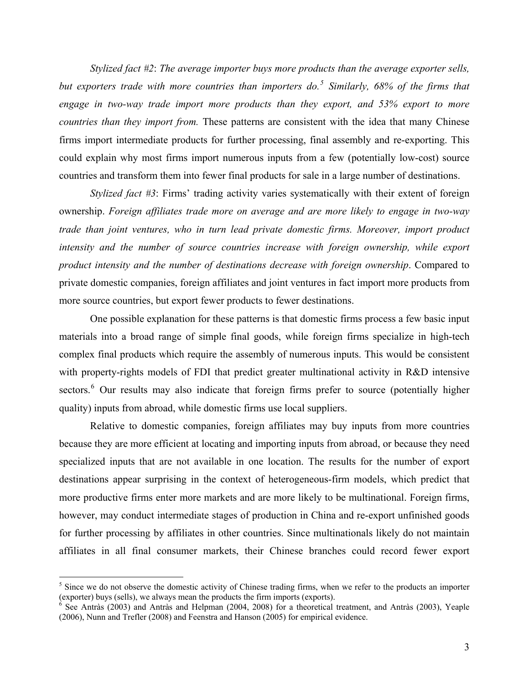*Stylized fact #2*: *The average importer buys more products than the average exporter sells, but exporters trade with more countries than importers do.[5](#page-4-0) Similarly, 68% of the firms that engage in two-way trade import more products than they export, and 53% export to more countries than they import from.* These patterns are consistent with the idea that many Chinese firms import intermediate products for further processing, final assembly and re-exporting. This could explain why most firms import numerous inputs from a few (potentially low-cost) source countries and transform them into fewer final products for sale in a large number of destinations.

*Stylized fact #3*: Firms' trading activity varies systematically with their extent of foreign ownership. *Foreign affiliates trade more on average and are more likely to engage in two-way trade than joint ventures, who in turn lead private domestic firms. Moreover, import product*  intensity and the number of source countries increase with foreign ownership, while export *product intensity and the number of destinations decrease with foreign ownership*. Compared to private domestic companies, foreign affiliates and joint ventures in fact import more products from more source countries, but export fewer products to fewer destinations.

One possible explanation for these patterns is that domestic firms process a few basic input materials into a broad range of simple final goods, while foreign firms specialize in high-tech complex final products which require the assembly of numerous inputs. This would be consistent with property-rights models of FDI that predict greater multinational activity in R&D intensive sectors.<sup>[6](#page-4-1)</sup> Our results may also indicate that foreign firms prefer to source (potentially higher quality) inputs from abroad, while domestic firms use local suppliers.

Relative to domestic companies, foreign affiliates may buy inputs from more countries because they are more efficient at locating and importing inputs from abroad, or because they need specialized inputs that are not available in one location. The results for the number of export destinations appear surprising in the context of heterogeneous-firm models, which predict that more productive firms enter more markets and are more likely to be multinational. Foreign firms, however, may conduct intermediate stages of production in China and re-export unfinished goods for further processing by affiliates in other countries. Since multinationals likely do not maintain affiliates in all final consumer markets, their Chinese branches could record fewer export

<span id="page-4-0"></span> $<sup>5</sup>$  Since we do not observe the domestic activity of Chinese trading firms, when we refer to the products an importer</sup> (exporter) buys (sells), we always mean the products the firm imports (exports). 6

<span id="page-4-1"></span> $6$  See Antràs (2003) and Antràs and Helpman (2004, 2008) for a theoretical treatment, and Antràs (2003), Yeaple (2006), Nunn and Trefler (2008) and Feenstra and Hanson (2005) for empirical evidence.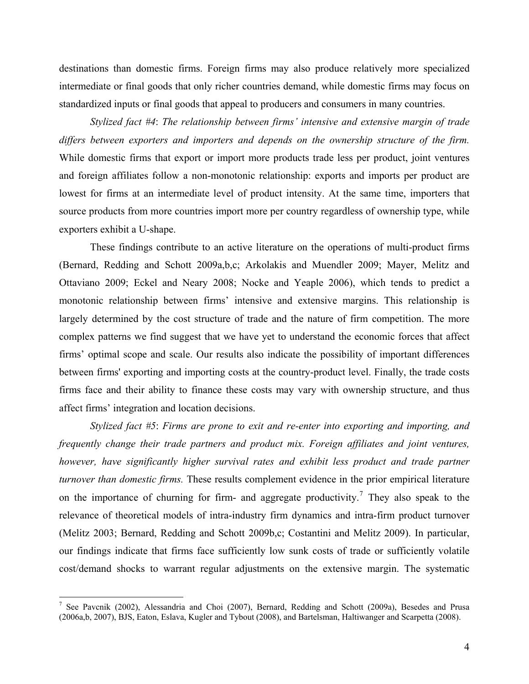destinations than domestic firms. Foreign firms may also produce relatively more specialized intermediate or final goods that only richer countries demand, while domestic firms may focus on standardized inputs or final goods that appeal to producers and consumers in many countries.

*Stylized fact #4*: *The relationship between firms' intensive and extensive margin of trade differs between exporters and importers and depends on the ownership structure of the firm.* While domestic firms that export or import more products trade less per product, joint ventures and foreign affiliates follow a non-monotonic relationship: exports and imports per product are lowest for firms at an intermediate level of product intensity. At the same time, importers that source products from more countries import more per country regardless of ownership type, while exporters exhibit a U-shape.

These findings contribute to an active literature on the operations of multi-product firms (Bernard, Redding and Schott 2009a,b,c; Arkolakis and Muendler 2009; Mayer, Melitz and Ottaviano 2009; Eckel and Neary 2008; Nocke and Yeaple 2006), which tends to predict a monotonic relationship between firms' intensive and extensive margins. This relationship is largely determined by the cost structure of trade and the nature of firm competition. The more complex patterns we find suggest that we have yet to understand the economic forces that affect firms' optimal scope and scale. Our results also indicate the possibility of important differences between firms' exporting and importing costs at the country-product level. Finally, the trade costs firms face and their ability to finance these costs may vary with ownership structure, and thus affect firms' integration and location decisions.

*Stylized fact #5*: *Firms are prone to exit and re-enter into exporting and importing, and frequently change their trade partners and product mix. Foreign affiliates and joint ventures, however, have significantly higher survival rates and exhibit less product and trade partner turnover than domestic firms.* These results complement evidence in the prior empirical literature on the importance of churning for firm- and aggregate productivity.<sup>[7](#page-5-0)</sup> They also speak to the relevance of theoretical models of intra-industry firm dynamics and intra-firm product turnover (Melitz 2003; Bernard, Redding and Schott 2009b,c; Costantini and Melitz 2009). In particular, our findings indicate that firms face sufficiently low sunk costs of trade or sufficiently volatile cost/demand shocks to warrant regular adjustments on the extensive margin. The systematic

<span id="page-5-0"></span><sup>&</sup>lt;sup>7</sup> See Pavcnik (2002), Alessandria and Choi (2007), Bernard, Redding and Schott (2009a), Besedes and Prusa (2006a,b, 2007), BJS, Eaton, Eslava, Kugler and Tybout (2008), and Bartelsman, Haltiwanger and Scarpetta (2008).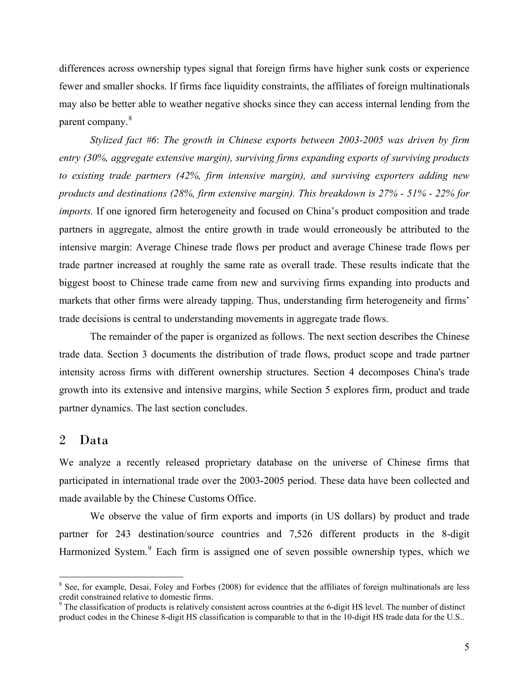differences across ownership types signal that foreign firms have higher sunk costs or experience fewer and smaller shocks. If firms face liquidity constraints, the affiliates of foreign multinationals may also be better able to weather negative shocks since they can access internal lending from the parent company.<sup>[8](#page-6-0)</sup>

*Stylized fact #6*: *The growth in Chinese exports between 2003-2005 was driven by firm entry (30%, aggregate extensive margin), surviving firms expanding exports of surviving products to existing trade partners (42%, firm intensive margin), and surviving exporters adding new products and destinations (28%, firm extensive margin). This breakdown is 27% - 51% - 22% for imports.* If one ignored firm heterogeneity and focused on China's product composition and trade partners in aggregate, almost the entire growth in trade would erroneously be attributed to the intensive margin: Average Chinese trade flows per product and average Chinese trade flows per trade partner increased at roughly the same rate as overall trade. These results indicate that the biggest boost to Chinese trade came from new and surviving firms expanding into products and markets that other firms were already tapping. Thus, understanding firm heterogeneity and firms' trade decisions is central to understanding movements in aggregate trade flows.

The remainder of the paper is organized as follows. The next section describes the Chinese trade data. Section 3 documents the distribution of trade flows, product scope and trade partner intensity across firms with different ownership structures. Section 4 decomposes China's trade growth into its extensive and intensive margins, while Section 5 explores firm, product and trade partner dynamics. The last section concludes.

## 2 Data

 $\overline{a}$ 

We analyze a recently released proprietary database on the universe of Chinese firms that participated in international trade over the 2003-2005 period. These data have been collected and made available by the Chinese Customs Office.

We observe the value of firm exports and imports (in US dollars) by product and trade partner for 243 destination/source countries and 7,526 different products in the 8-digit Harmonized System.<sup>[9](#page-6-1)</sup> Each firm is assigned one of seven possible ownership types, which we

<span id="page-6-0"></span><sup>&</sup>lt;sup>8</sup> See, for example, Desai, Foley and Forbes (2008) for evidence that the affiliates of foreign multinationals are less credit constrained relative to domestic firms.

<span id="page-6-1"></span> $9$ <sup>9</sup> The classification of products is relatively consistent across countries at the 6-digit HS level. The number of distinct product codes in the Chinese 8-digit HS classification is comparable to that in the 10-digit HS trade data for the U.S..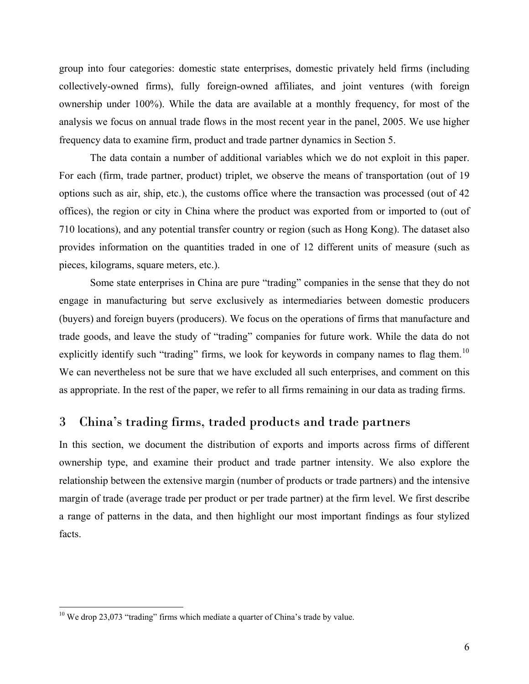group into four categories: domestic state enterprises, domestic privately held firms (including collectively-owned firms), fully foreign-owned affiliates, and joint ventures (with foreign ownership under 100%). While the data are available at a monthly frequency, for most of the analysis we focus on annual trade flows in the most recent year in the panel, 2005. We use higher frequency data to examine firm, product and trade partner dynamics in Section 5.

The data contain a number of additional variables which we do not exploit in this paper. For each (firm, trade partner, product) triplet, we observe the means of transportation (out of 19 options such as air, ship, etc.), the customs office where the transaction was processed (out of 42 offices), the region or city in China where the product was exported from or imported to (out of 710 locations), and any potential transfer country or region (such as Hong Kong). The dataset also provides information on the quantities traded in one of 12 different units of measure (such as pieces, kilograms, square meters, etc.).

Some state enterprises in China are pure "trading" companies in the sense that they do not engage in manufacturing but serve exclusively as intermediaries between domestic producers (buyers) and foreign buyers (producers). We focus on the operations of firms that manufacture and trade goods, and leave the study of "trading" companies for future work. While the data do not explicitly identify such "trading" firms, we look for keywords in company names to flag them.<sup>[10](#page-7-0)</sup> We can nevertheless not be sure that we have excluded all such enterprises, and comment on this as appropriate. In the rest of the paper, we refer to all firms remaining in our data as trading firms.

# 3 China's trading firms, traded products and trade partners

In this section, we document the distribution of exports and imports across firms of different ownership type, and examine their product and trade partner intensity. We also explore the relationship between the extensive margin (number of products or trade partners) and the intensive margin of trade (average trade per product or per trade partner) at the firm level. We first describe a range of patterns in the data, and then highlight our most important findings as four stylized facts.

<span id="page-7-0"></span> $10$  We drop 23,073 "trading" firms which mediate a quarter of China's trade by value.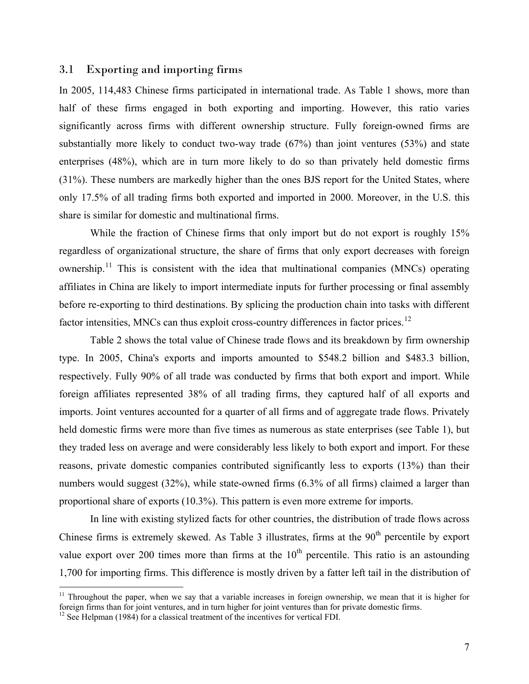## 3.1 Exporting and importing firms

In 2005, 114,483 Chinese firms participated in international trade. As Table 1 shows, more than half of these firms engaged in both exporting and importing. However, this ratio varies significantly across firms with different ownership structure. Fully foreign-owned firms are substantially more likely to conduct two-way trade (67%) than joint ventures (53%) and state enterprises (48%), which are in turn more likely to do so than privately held domestic firms (31%). These numbers are markedly higher than the ones BJS report for the United States, where only 17.5% of all trading firms both exported and imported in 2000. Moreover, in the U.S. this share is similar for domestic and multinational firms.

While the fraction of Chinese firms that only import but do not export is roughly 15% regardless of organizational structure, the share of firms that only export decreases with foreign ownership.<sup>[11](#page-8-0)</sup> This is consistent with the idea that multinational companies (MNCs) operating affiliates in China are likely to import intermediate inputs for further processing or final assembly before re-exporting to third destinations. By splicing the production chain into tasks with different factor intensities, MNCs can thus exploit cross-country differences in factor prices.<sup>[12](#page-8-1)</sup>

Table 2 shows the total value of Chinese trade flows and its breakdown by firm ownership type. In 2005, China's exports and imports amounted to \$548.2 billion and \$483.3 billion, respectively. Fully 90% of all trade was conducted by firms that both export and import. While foreign affiliates represented 38% of all trading firms, they captured half of all exports and imports. Joint ventures accounted for a quarter of all firms and of aggregate trade flows. Privately held domestic firms were more than five times as numerous as state enterprises (see Table 1), but they traded less on average and were considerably less likely to both export and import. For these reasons, private domestic companies contributed significantly less to exports (13%) than their numbers would suggest (32%), while state-owned firms (6.3% of all firms) claimed a larger than proportional share of exports (10.3%). This pattern is even more extreme for imports.

In line with existing stylized facts for other countries, the distribution of trade flows across Chinese firms is extremely skewed. As Table 3 illustrates, firms at the  $90<sup>th</sup>$  percentile by export value export over 200 times more than firms at the  $10<sup>th</sup>$  percentile. This ratio is an astounding 1,700 for importing firms. This difference is mostly driven by a fatter left tail in the distribution of

<span id="page-8-0"></span><sup>&</sup>lt;sup>11</sup> Throughout the paper, when we say that a variable increases in foreign ownership, we mean that it is higher for foreign firms than for joint ventures, and in turn higher for joint ventures than for private domestic firms.

<span id="page-8-1"></span> $12$  See Helpman (1984) for a classical treatment of the incentives for vertical FDI.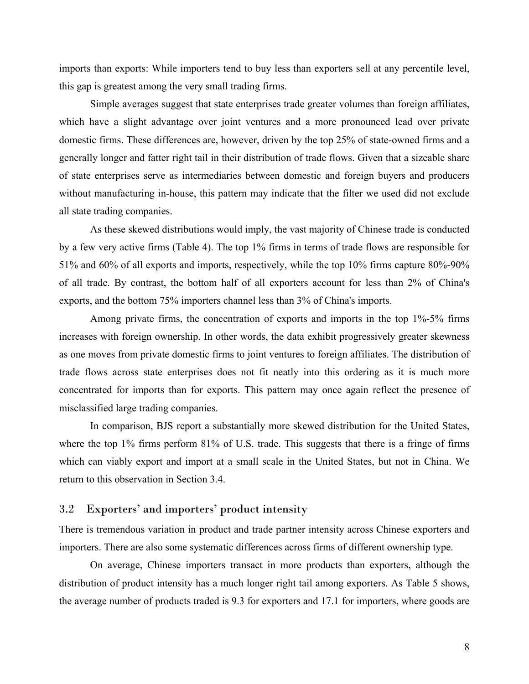imports than exports: While importers tend to buy less than exporters sell at any percentile level, this gap is greatest among the very small trading firms.

Simple averages suggest that state enterprises trade greater volumes than foreign affiliates, which have a slight advantage over joint ventures and a more pronounced lead over private domestic firms. These differences are, however, driven by the top 25% of state-owned firms and a generally longer and fatter right tail in their distribution of trade flows. Given that a sizeable share of state enterprises serve as intermediaries between domestic and foreign buyers and producers without manufacturing in-house, this pattern may indicate that the filter we used did not exclude all state trading companies.

As these skewed distributions would imply, the vast majority of Chinese trade is conducted by a few very active firms (Table 4). The top 1% firms in terms of trade flows are responsible for 51% and 60% of all exports and imports, respectively, while the top 10% firms capture 80%-90% of all trade. By contrast, the bottom half of all exporters account for less than 2% of China's exports, and the bottom 75% importers channel less than 3% of China's imports.

Among private firms, the concentration of exports and imports in the top 1%-5% firms increases with foreign ownership. In other words, the data exhibit progressively greater skewness as one moves from private domestic firms to joint ventures to foreign affiliates. The distribution of trade flows across state enterprises does not fit neatly into this ordering as it is much more concentrated for imports than for exports. This pattern may once again reflect the presence of misclassified large trading companies.

In comparison, BJS report a substantially more skewed distribution for the United States, where the top 1% firms perform 81% of U.S. trade. This suggests that there is a fringe of firms which can viably export and import at a small scale in the United States, but not in China. We return to this observation in Section 3.4.

## 3.2 Exporters' and importers' product intensity

There is tremendous variation in product and trade partner intensity across Chinese exporters and importers. There are also some systematic differences across firms of different ownership type.

On average, Chinese importers transact in more products than exporters, although the distribution of product intensity has a much longer right tail among exporters. As Table 5 shows, the average number of products traded is 9.3 for exporters and 17.1 for importers, where goods are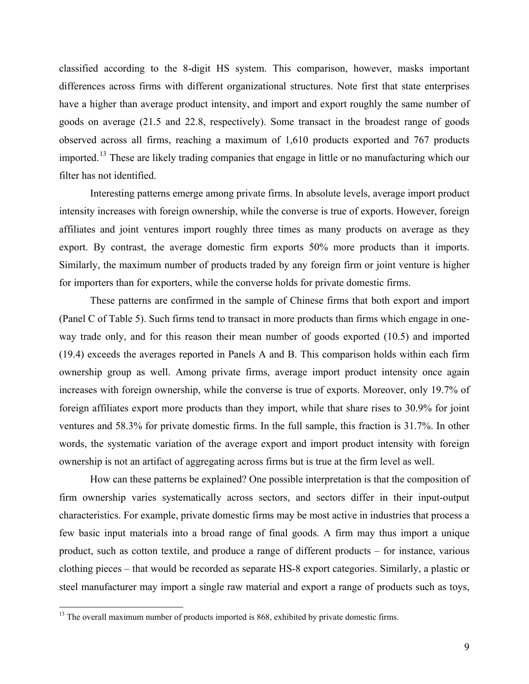classified according to the 8-digit HS system. This comparison, however, masks important differences across firms with different organizational structures. Note first that state enterprises have a higher than average product intensity, and import and export roughly the same number of goods on average (21.5 and 22.8, respectively). Some transact in the broadest range of goods observed across all firms, reaching a maximum of 1,610 products exported and 767 products imported.[13](#page-10-0) These are likely trading companies that engage in little or no manufacturing which our filter has not identified.

Interesting patterns emerge among private firms. In absolute levels, average import product intensity increases with foreign ownership, while the converse is true of exports. However, foreign affiliates and joint ventures import roughly three times as many products on average as they export. By contrast, the average domestic firm exports 50% more products than it imports. Similarly, the maximum number of products traded by any foreign firm or joint venture is higher for importers than for exporters, while the converse holds for private domestic firms.

These patterns are confirmed in the sample of Chinese firms that both export and import (Panel C of Table 5). Such firms tend to transact in more products than firms which engage in oneway trade only, and for this reason their mean number of goods exported (10.5) and imported (19.4) exceeds the averages reported in Panels A and B. This comparison holds within each firm ownership group as well. Among private firms, average import product intensity once again increases with foreign ownership, while the converse is true of exports. Moreover, only 19.7% of foreign affiliates export more products than they import, while that share rises to 30.9% for joint ventures and 58.3% for private domestic firms. In the full sample, this fraction is 31.7%. In other words, the systematic variation of the average export and import product intensity with foreign ownership is not an artifact of aggregating across firms but is true at the firm level as well.

How can these patterns be explained? One possible interpretation is that the composition of firm ownership varies systematically across sectors, and sectors differ in their input-output characteristics. For example, private domestic firms may be most active in industries that process a few basic input materials into a broad range of final goods. A firm may thus import a unique product, such as cotton textile, and produce a range of different products – for instance, various clothing pieces – that would be recorded as separate HS-8 export categories. Similarly, a plastic or steel manufacturer may import a single raw material and export a range of products such as toys,

<span id="page-10-0"></span><sup>&</sup>lt;sup>13</sup> The overall maximum number of products imported is 868, exhibited by private domestic firms.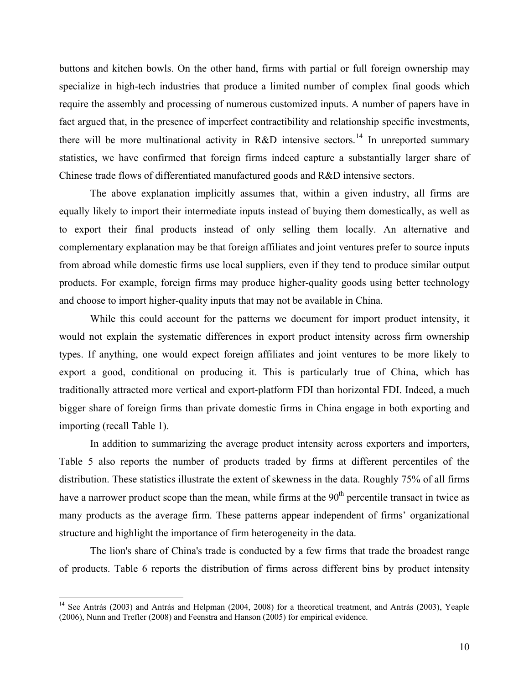buttons and kitchen bowls. On the other hand, firms with partial or full foreign ownership may specialize in high-tech industries that produce a limited number of complex final goods which require the assembly and processing of numerous customized inputs. A number of papers have in fact argued that, in the presence of imperfect contractibility and relationship specific investments, there will be more multinational activity in R&D intensive sectors.<sup>[14](#page-11-0)</sup> In unreported summary statistics, we have confirmed that foreign firms indeed capture a substantially larger share of Chinese trade flows of differentiated manufactured goods and R&D intensive sectors.

The above explanation implicitly assumes that, within a given industry, all firms are equally likely to import their intermediate inputs instead of buying them domestically, as well as to export their final products instead of only selling them locally. An alternative and complementary explanation may be that foreign affiliates and joint ventures prefer to source inputs from abroad while domestic firms use local suppliers, even if they tend to produce similar output products. For example, foreign firms may produce higher-quality goods using better technology and choose to import higher-quality inputs that may not be available in China.

While this could account for the patterns we document for import product intensity, it would not explain the systematic differences in export product intensity across firm ownership types. If anything, one would expect foreign affiliates and joint ventures to be more likely to export a good, conditional on producing it. This is particularly true of China, which has traditionally attracted more vertical and export-platform FDI than horizontal FDI. Indeed, a much bigger share of foreign firms than private domestic firms in China engage in both exporting and importing (recall Table 1).

In addition to summarizing the average product intensity across exporters and importers, Table 5 also reports the number of products traded by firms at different percentiles of the distribution. These statistics illustrate the extent of skewness in the data. Roughly 75% of all firms have a narrower product scope than the mean, while firms at the  $90<sup>th</sup>$  percentile transact in twice as many products as the average firm. These patterns appear independent of firms' organizational structure and highlight the importance of firm heterogeneity in the data.

The lion's share of China's trade is conducted by a few firms that trade the broadest range of products. Table 6 reports the distribution of firms across different bins by product intensity

<span id="page-11-0"></span><sup>&</sup>lt;sup>14</sup> See Antràs (2003) and Antràs and Helpman (2004, 2008) for a theoretical treatment, and Antràs (2003), Yeaple (2006), Nunn and Trefler (2008) and Feenstra and Hanson (2005) for empirical evidence.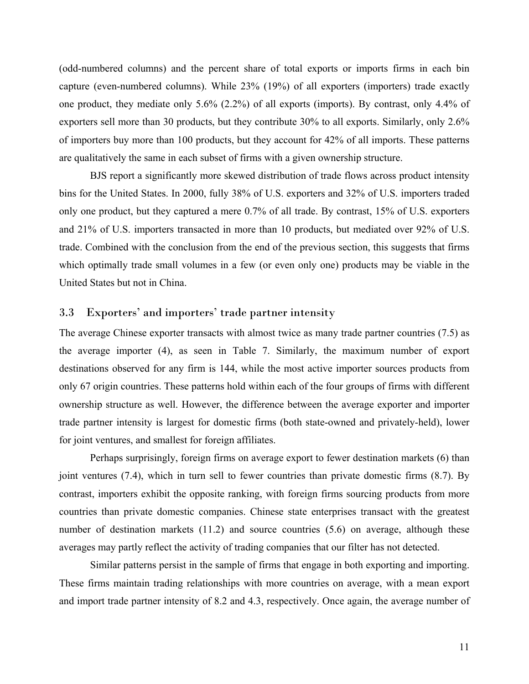(odd-numbered columns) and the percent share of total exports or imports firms in each bin capture (even-numbered columns). While 23% (19%) of all exporters (importers) trade exactly one product, they mediate only 5.6% (2.2%) of all exports (imports). By contrast, only 4.4% of exporters sell more than 30 products, but they contribute 30% to all exports. Similarly, only 2.6% of importers buy more than 100 products, but they account for 42% of all imports. These patterns are qualitatively the same in each subset of firms with a given ownership structure.

BJS report a significantly more skewed distribution of trade flows across product intensity bins for the United States. In 2000, fully 38% of U.S. exporters and 32% of U.S. importers traded only one product, but they captured a mere 0.7% of all trade. By contrast, 15% of U.S. exporters and 21% of U.S. importers transacted in more than 10 products, but mediated over 92% of U.S. trade. Combined with the conclusion from the end of the previous section, this suggests that firms which optimally trade small volumes in a few (or even only one) products may be viable in the United States but not in China.

## 3.3 Exporters' and importers' trade partner intensity

The average Chinese exporter transacts with almost twice as many trade partner countries (7.5) as the average importer (4), as seen in Table 7. Similarly, the maximum number of export destinations observed for any firm is 144, while the most active importer sources products from only 67 origin countries. These patterns hold within each of the four groups of firms with different ownership structure as well. However, the difference between the average exporter and importer trade partner intensity is largest for domestic firms (both state-owned and privately-held), lower for joint ventures, and smallest for foreign affiliates.

Perhaps surprisingly, foreign firms on average export to fewer destination markets (6) than joint ventures (7.4), which in turn sell to fewer countries than private domestic firms (8.7). By contrast, importers exhibit the opposite ranking, with foreign firms sourcing products from more countries than private domestic companies. Chinese state enterprises transact with the greatest number of destination markets (11.2) and source countries (5.6) on average, although these averages may partly reflect the activity of trading companies that our filter has not detected.

Similar patterns persist in the sample of firms that engage in both exporting and importing. These firms maintain trading relationships with more countries on average, with a mean export and import trade partner intensity of 8.2 and 4.3, respectively. Once again, the average number of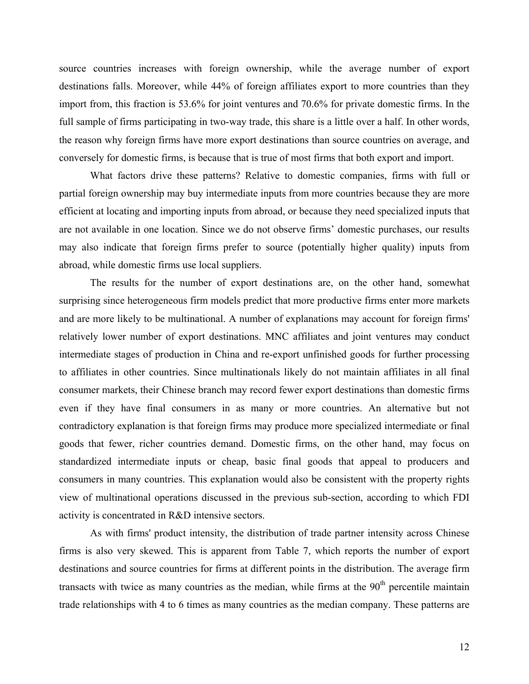source countries increases with foreign ownership, while the average number of export destinations falls. Moreover, while 44% of foreign affiliates export to more countries than they import from, this fraction is 53.6% for joint ventures and 70.6% for private domestic firms. In the full sample of firms participating in two-way trade, this share is a little over a half. In other words, the reason why foreign firms have more export destinations than source countries on average, and conversely for domestic firms, is because that is true of most firms that both export and import.

What factors drive these patterns? Relative to domestic companies, firms with full or partial foreign ownership may buy intermediate inputs from more countries because they are more efficient at locating and importing inputs from abroad, or because they need specialized inputs that are not available in one location. Since we do not observe firms' domestic purchases, our results may also indicate that foreign firms prefer to source (potentially higher quality) inputs from abroad, while domestic firms use local suppliers.

The results for the number of export destinations are, on the other hand, somewhat surprising since heterogeneous firm models predict that more productive firms enter more markets and are more likely to be multinational. A number of explanations may account for foreign firms' relatively lower number of export destinations. MNC affiliates and joint ventures may conduct intermediate stages of production in China and re-export unfinished goods for further processing to affiliates in other countries. Since multinationals likely do not maintain affiliates in all final consumer markets, their Chinese branch may record fewer export destinations than domestic firms even if they have final consumers in as many or more countries. An alternative but not contradictory explanation is that foreign firms may produce more specialized intermediate or final goods that fewer, richer countries demand. Domestic firms, on the other hand, may focus on standardized intermediate inputs or cheap, basic final goods that appeal to producers and consumers in many countries. This explanation would also be consistent with the property rights view of multinational operations discussed in the previous sub-section, according to which FDI activity is concentrated in R&D intensive sectors.

As with firms' product intensity, the distribution of trade partner intensity across Chinese firms is also very skewed. This is apparent from Table 7, which reports the number of export destinations and source countries for firms at different points in the distribution. The average firm transacts with twice as many countries as the median, while firms at the  $90<sup>th</sup>$  percentile maintain trade relationships with 4 to 6 times as many countries as the median company. These patterns are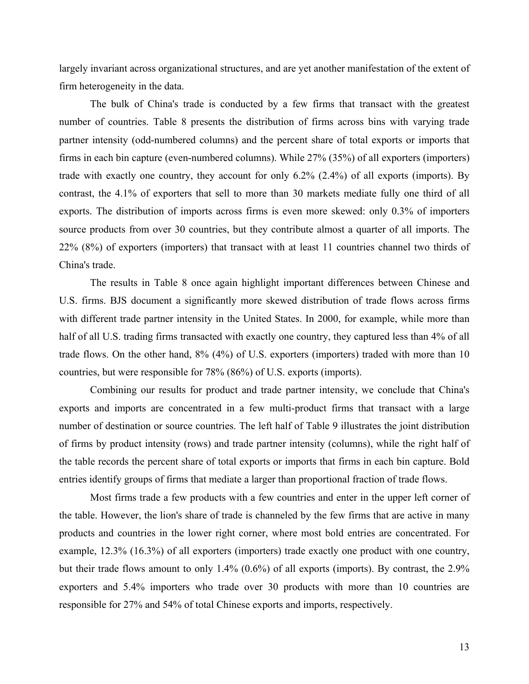largely invariant across organizational structures, and are yet another manifestation of the extent of firm heterogeneity in the data.

The bulk of China's trade is conducted by a few firms that transact with the greatest number of countries. Table 8 presents the distribution of firms across bins with varying trade partner intensity (odd-numbered columns) and the percent share of total exports or imports that firms in each bin capture (even-numbered columns). While 27% (35%) of all exporters (importers) trade with exactly one country, they account for only 6.2% (2.4%) of all exports (imports). By contrast, the 4.1% of exporters that sell to more than 30 markets mediate fully one third of all exports. The distribution of imports across firms is even more skewed: only 0.3% of importers source products from over 30 countries, but they contribute almost a quarter of all imports. The 22% (8%) of exporters (importers) that transact with at least 11 countries channel two thirds of China's trade.

The results in Table 8 once again highlight important differences between Chinese and U.S. firms. BJS document a significantly more skewed distribution of trade flows across firms with different trade partner intensity in the United States. In 2000, for example, while more than half of all U.S. trading firms transacted with exactly one country, they captured less than 4% of all trade flows. On the other hand, 8% (4%) of U.S. exporters (importers) traded with more than 10 countries, but were responsible for 78% (86%) of U.S. exports (imports).

Combining our results for product and trade partner intensity, we conclude that China's exports and imports are concentrated in a few multi-product firms that transact with a large number of destination or source countries. The left half of Table 9 illustrates the joint distribution of firms by product intensity (rows) and trade partner intensity (columns), while the right half of the table records the percent share of total exports or imports that firms in each bin capture. Bold entries identify groups of firms that mediate a larger than proportional fraction of trade flows.

Most firms trade a few products with a few countries and enter in the upper left corner of the table. However, the lion's share of trade is channeled by the few firms that are active in many products and countries in the lower right corner, where most bold entries are concentrated. For example, 12.3% (16.3%) of all exporters (importers) trade exactly one product with one country, but their trade flows amount to only 1.4% (0.6%) of all exports (imports). By contrast, the 2.9% exporters and 5.4% importers who trade over 30 products with more than 10 countries are responsible for 27% and 54% of total Chinese exports and imports, respectively.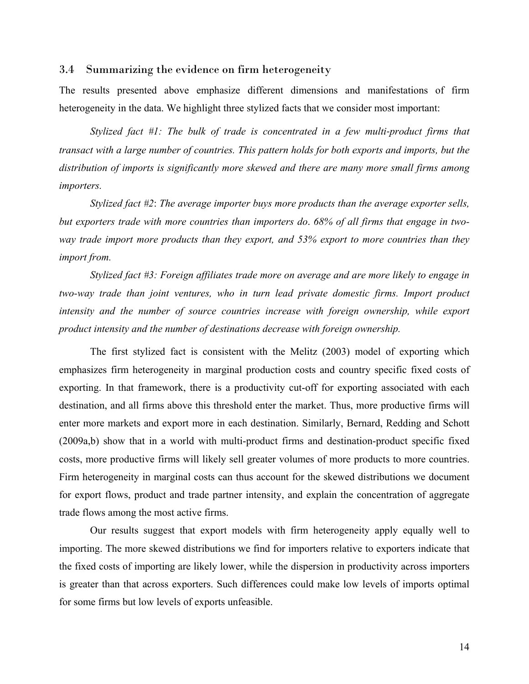#### 3.4 Summarizing the evidence on firm heterogeneity

The results presented above emphasize different dimensions and manifestations of firm heterogeneity in the data. We highlight three stylized facts that we consider most important:

*Stylized fact #1: The bulk of trade is concentrated in a few multi-product firms that transact with a large number of countries. This pattern holds for both exports and imports, but the distribution of imports is significantly more skewed and there are many more small firms among importers.*

*Stylized fact #2*: *The average importer buys more products than the average exporter sells, but exporters trade with more countries than importers do*. *68% of all firms that engage in twoway trade import more products than they export, and 53% export to more countries than they import from.* 

*Stylized fact #3: Foreign affiliates trade more on average and are more likely to engage in two-way trade than joint ventures, who in turn lead private domestic firms. Import product*  intensity and the number of source countries increase with foreign ownership, while export *product intensity and the number of destinations decrease with foreign ownership.* 

The first stylized fact is consistent with the Melitz (2003) model of exporting which emphasizes firm heterogeneity in marginal production costs and country specific fixed costs of exporting. In that framework, there is a productivity cut-off for exporting associated with each destination, and all firms above this threshold enter the market. Thus, more productive firms will enter more markets and export more in each destination. Similarly, Bernard, Redding and Schott (2009a,b) show that in a world with multi-product firms and destination-product specific fixed costs, more productive firms will likely sell greater volumes of more products to more countries. Firm heterogeneity in marginal costs can thus account for the skewed distributions we document for export flows, product and trade partner intensity, and explain the concentration of aggregate trade flows among the most active firms.

Our results suggest that export models with firm heterogeneity apply equally well to importing. The more skewed distributions we find for importers relative to exporters indicate that the fixed costs of importing are likely lower, while the dispersion in productivity across importers is greater than that across exporters. Such differences could make low levels of imports optimal for some firms but low levels of exports unfeasible.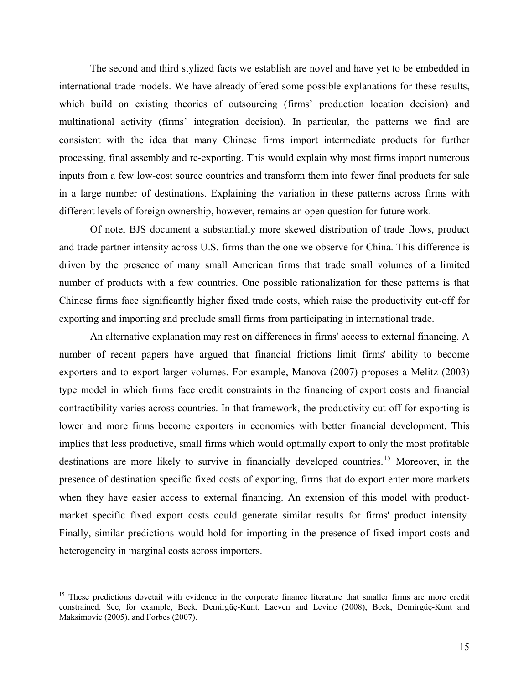The second and third stylized facts we establish are novel and have yet to be embedded in international trade models. We have already offered some possible explanations for these results, which build on existing theories of outsourcing (firms' production location decision) and multinational activity (firms' integration decision). In particular, the patterns we find are consistent with the idea that many Chinese firms import intermediate products for further processing, final assembly and re-exporting. This would explain why most firms import numerous inputs from a few low-cost source countries and transform them into fewer final products for sale in a large number of destinations. Explaining the variation in these patterns across firms with different levels of foreign ownership, however, remains an open question for future work.

Of note, BJS document a substantially more skewed distribution of trade flows, product and trade partner intensity across U.S. firms than the one we observe for China. This difference is driven by the presence of many small American firms that trade small volumes of a limited number of products with a few countries. One possible rationalization for these patterns is that Chinese firms face significantly higher fixed trade costs, which raise the productivity cut-off for exporting and importing and preclude small firms from participating in international trade.

An alternative explanation may rest on differences in firms' access to external financing. A number of recent papers have argued that financial frictions limit firms' ability to become exporters and to export larger volumes. For example, Manova (2007) proposes a Melitz (2003) type model in which firms face credit constraints in the financing of export costs and financial contractibility varies across countries. In that framework, the productivity cut-off for exporting is lower and more firms become exporters in economies with better financial development. This implies that less productive, small firms which would optimally export to only the most profitable destinations are more likely to survive in financially developed countries.<sup>[15](#page-16-0)</sup> Moreover, in the presence of destination specific fixed costs of exporting, firms that do export enter more markets when they have easier access to external financing. An extension of this model with productmarket specific fixed export costs could generate similar results for firms' product intensity. Finally, similar predictions would hold for importing in the presence of fixed import costs and heterogeneity in marginal costs across importers.

<span id="page-16-0"></span><sup>&</sup>lt;sup>15</sup> These predictions dovetail with evidence in the corporate finance literature that smaller firms are more credit constrained. See, for example, Beck, Demirgüç-Kunt, Laeven and Levine (2008), Beck, Demirgüç-Kunt and Maksimovic (2005), and Forbes (2007).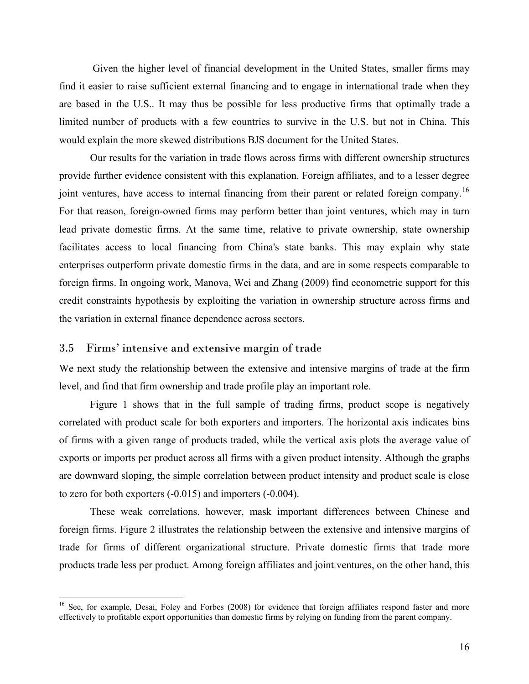Given the higher level of financial development in the United States, smaller firms may find it easier to raise sufficient external financing and to engage in international trade when they are based in the U.S.. It may thus be possible for less productive firms that optimally trade a limited number of products with a few countries to survive in the U.S. but not in China. This would explain the more skewed distributions BJS document for the United States.

Our results for the variation in trade flows across firms with different ownership structures provide further evidence consistent with this explanation. Foreign affiliates, and to a lesser degree joint ventures, have access to internal financing from their parent or related foreign company.<sup>[16](#page-17-0)</sup> For that reason, foreign-owned firms may perform better than joint ventures, which may in turn lead private domestic firms. At the same time, relative to private ownership, state ownership facilitates access to local financing from China's state banks. This may explain why state enterprises outperform private domestic firms in the data, and are in some respects comparable to foreign firms. In ongoing work, Manova, Wei and Zhang (2009) find econometric support for this credit constraints hypothesis by exploiting the variation in ownership structure across firms and the variation in external finance dependence across sectors.

#### 3.5 Firms' intensive and extensive margin of trade

 $\overline{a}$ 

We next study the relationship between the extensive and intensive margins of trade at the firm level, and find that firm ownership and trade profile play an important role.

Figure 1 shows that in the full sample of trading firms, product scope is negatively correlated with product scale for both exporters and importers. The horizontal axis indicates bins of firms with a given range of products traded, while the vertical axis plots the average value of exports or imports per product across all firms with a given product intensity. Although the graphs are downward sloping, the simple correlation between product intensity and product scale is close to zero for both exporters (-0.015) and importers (-0.004).

These weak correlations, however, mask important differences between Chinese and foreign firms. Figure 2 illustrates the relationship between the extensive and intensive margins of trade for firms of different organizational structure. Private domestic firms that trade more products trade less per product. Among foreign affiliates and joint ventures, on the other hand, this

<span id="page-17-0"></span><sup>&</sup>lt;sup>16</sup> See, for example, Desai, Foley and Forbes (2008) for evidence that foreign affiliates respond faster and more effectively to profitable export opportunities than domestic firms by relying on funding from the parent company.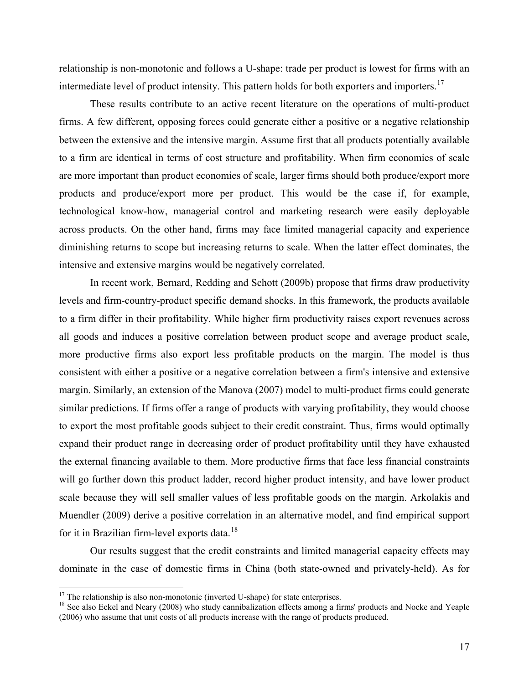relationship is non-monotonic and follows a U-shape: trade per product is lowest for firms with an intermediate level of product intensity. This pattern holds for both exporters and importers.<sup>[17](#page-18-0)</sup>

These results contribute to an active recent literature on the operations of multi-product firms. A few different, opposing forces could generate either a positive or a negative relationship between the extensive and the intensive margin. Assume first that all products potentially available to a firm are identical in terms of cost structure and profitability. When firm economies of scale are more important than product economies of scale, larger firms should both produce/export more products and produce/export more per product. This would be the case if, for example, technological know-how, managerial control and marketing research were easily deployable across products. On the other hand, firms may face limited managerial capacity and experience diminishing returns to scope but increasing returns to scale. When the latter effect dominates, the intensive and extensive margins would be negatively correlated.

In recent work, Bernard, Redding and Schott (2009b) propose that firms draw productivity levels and firm-country-product specific demand shocks. In this framework, the products available to a firm differ in their profitability. While higher firm productivity raises export revenues across all goods and induces a positive correlation between product scope and average product scale, more productive firms also export less profitable products on the margin. The model is thus consistent with either a positive or a negative correlation between a firm's intensive and extensive margin. Similarly, an extension of the Manova (2007) model to multi-product firms could generate similar predictions. If firms offer a range of products with varying profitability, they would choose to export the most profitable goods subject to their credit constraint. Thus, firms would optimally expand their product range in decreasing order of product profitability until they have exhausted the external financing available to them. More productive firms that face less financial constraints will go further down this product ladder, record higher product intensity, and have lower product scale because they will sell smaller values of less profitable goods on the margin. Arkolakis and Muendler (2009) derive a positive correlation in an alternative model, and find empirical support for it in Brazilian firm-level exports data.<sup>[18](#page-18-1)</sup>

Our results suggest that the credit constraints and limited managerial capacity effects may dominate in the case of domestic firms in China (both state-owned and privately-held). As for

<span id="page-18-0"></span> $17$  The relationship is also non-monotonic (inverted U-shape) for state enterprises.

<span id="page-18-1"></span><sup>&</sup>lt;sup>18</sup> See also Eckel and Neary (2008) who study cannibalization effects among a firms' products and Nocke and Yeaple (2006) who assume that unit costs of all products increase with the range of products produced.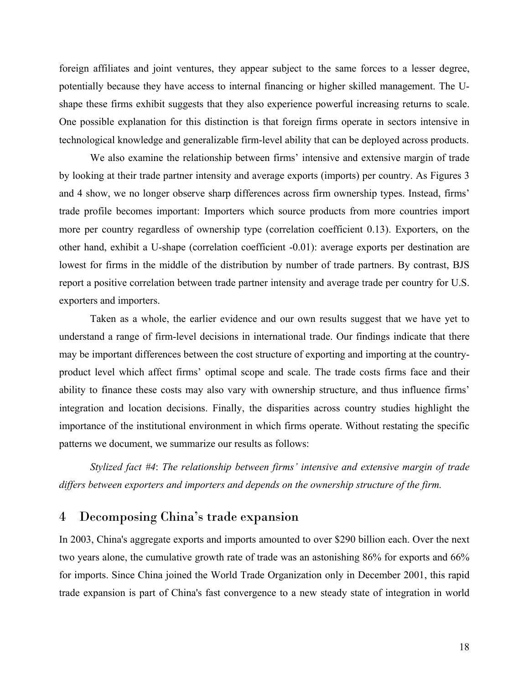foreign affiliates and joint ventures, they appear subject to the same forces to a lesser degree, potentially because they have access to internal financing or higher skilled management. The Ushape these firms exhibit suggests that they also experience powerful increasing returns to scale. One possible explanation for this distinction is that foreign firms operate in sectors intensive in technological knowledge and generalizable firm-level ability that can be deployed across products.

We also examine the relationship between firms' intensive and extensive margin of trade by looking at their trade partner intensity and average exports (imports) per country. As Figures 3 and 4 show, we no longer observe sharp differences across firm ownership types. Instead, firms' trade profile becomes important: Importers which source products from more countries import more per country regardless of ownership type (correlation coefficient 0.13). Exporters, on the other hand, exhibit a U-shape (correlation coefficient -0.01): average exports per destination are lowest for firms in the middle of the distribution by number of trade partners. By contrast, BJS report a positive correlation between trade partner intensity and average trade per country for U.S. exporters and importers.

Taken as a whole, the earlier evidence and our own results suggest that we have yet to understand a range of firm-level decisions in international trade. Our findings indicate that there may be important differences between the cost structure of exporting and importing at the countryproduct level which affect firms' optimal scope and scale. The trade costs firms face and their ability to finance these costs may also vary with ownership structure, and thus influence firms' integration and location decisions. Finally, the disparities across country studies highlight the importance of the institutional environment in which firms operate. Without restating the specific patterns we document, we summarize our results as follows:

*Stylized fact #4*: *The relationship between firms' intensive and extensive margin of trade differs between exporters and importers and depends on the ownership structure of the firm.* 

# 4 Decomposing China's trade expansion

In 2003, China's aggregate exports and imports amounted to over \$290 billion each. Over the next two years alone, the cumulative growth rate of trade was an astonishing 86% for exports and 66% for imports. Since China joined the World Trade Organization only in December 2001, this rapid trade expansion is part of China's fast convergence to a new steady state of integration in world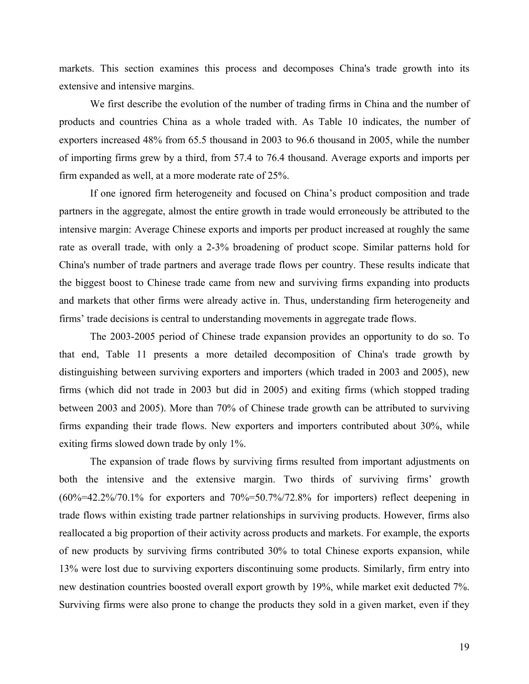markets. This section examines this process and decomposes China's trade growth into its extensive and intensive margins.

We first describe the evolution of the number of trading firms in China and the number of products and countries China as a whole traded with. As Table 10 indicates, the number of exporters increased 48% from 65.5 thousand in 2003 to 96.6 thousand in 2005, while the number of importing firms grew by a third, from 57.4 to 76.4 thousand. Average exports and imports per firm expanded as well, at a more moderate rate of 25%.

If one ignored firm heterogeneity and focused on China's product composition and trade partners in the aggregate, almost the entire growth in trade would erroneously be attributed to the intensive margin: Average Chinese exports and imports per product increased at roughly the same rate as overall trade, with only a 2-3% broadening of product scope. Similar patterns hold for China's number of trade partners and average trade flows per country. These results indicate that the biggest boost to Chinese trade came from new and surviving firms expanding into products and markets that other firms were already active in. Thus, understanding firm heterogeneity and firms' trade decisions is central to understanding movements in aggregate trade flows.

The 2003-2005 period of Chinese trade expansion provides an opportunity to do so. To that end, Table 11 presents a more detailed decomposition of China's trade growth by distinguishing between surviving exporters and importers (which traded in 2003 and 2005), new firms (which did not trade in 2003 but did in 2005) and exiting firms (which stopped trading between 2003 and 2005). More than 70% of Chinese trade growth can be attributed to surviving firms expanding their trade flows. New exporters and importers contributed about 30%, while exiting firms slowed down trade by only 1%.

The expansion of trade flows by surviving firms resulted from important adjustments on both the intensive and the extensive margin. Two thirds of surviving firms' growth  $(60\% = 42.2\%/70.1\%$  for exporters and  $70\% = 50.7\%/72.8\%$  for importers) reflect deepening in trade flows within existing trade partner relationships in surviving products. However, firms also reallocated a big proportion of their activity across products and markets. For example, the exports of new products by surviving firms contributed 30% to total Chinese exports expansion, while 13% were lost due to surviving exporters discontinuing some products. Similarly, firm entry into new destination countries boosted overall export growth by 19%, while market exit deducted 7%. Surviving firms were also prone to change the products they sold in a given market, even if they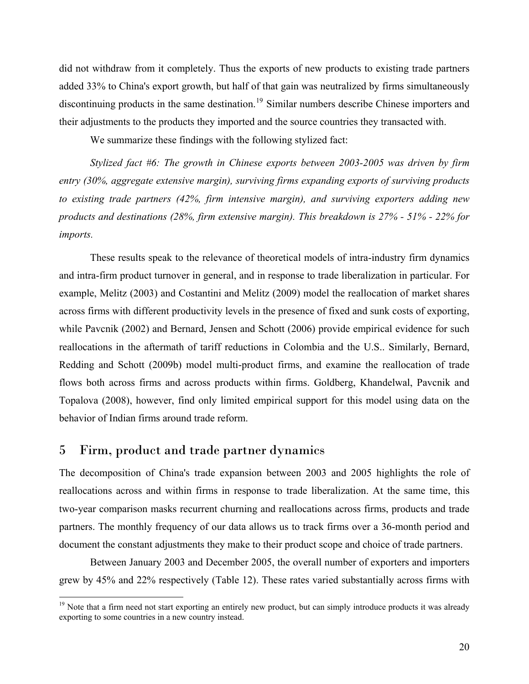did not withdraw from it completely. Thus the exports of new products to existing trade partners added 33% to China's export growth, but half of that gain was neutralized by firms simultaneously discontinuing products in the same destination.<sup>[19](#page-21-0)</sup> Similar numbers describe Chinese importers and their adjustments to the products they imported and the source countries they transacted with.

We summarize these findings with the following stylized fact:

*Stylized fact #6: The growth in Chinese exports between 2003-2005 was driven by firm entry (30%, aggregate extensive margin), surviving firms expanding exports of surviving products to existing trade partners (42%, firm intensive margin), and surviving exporters adding new products and destinations (28%, firm extensive margin). This breakdown is 27% - 51% - 22% for imports.* 

These results speak to the relevance of theoretical models of intra-industry firm dynamics and intra-firm product turnover in general, and in response to trade liberalization in particular. For example, Melitz (2003) and Costantini and Melitz (2009) model the reallocation of market shares across firms with different productivity levels in the presence of fixed and sunk costs of exporting, while Pavcnik (2002) and Bernard, Jensen and Schott (2006) provide empirical evidence for such reallocations in the aftermath of tariff reductions in Colombia and the U.S.. Similarly, Bernard, Redding and Schott (2009b) model multi-product firms, and examine the reallocation of trade flows both across firms and across products within firms. Goldberg, Khandelwal, Pavcnik and Topalova (2008), however, find only limited empirical support for this model using data on the behavior of Indian firms around trade reform.

# 5 Firm, product and trade partner dynamics

 $\overline{a}$ 

The decomposition of China's trade expansion between 2003 and 2005 highlights the role of reallocations across and within firms in response to trade liberalization. At the same time, this two-year comparison masks recurrent churning and reallocations across firms, products and trade partners. The monthly frequency of our data allows us to track firms over a 36-month period and document the constant adjustments they make to their product scope and choice of trade partners.

Between January 2003 and December 2005, the overall number of exporters and importers grew by 45% and 22% respectively (Table 12). These rates varied substantially across firms with

<span id="page-21-0"></span><sup>&</sup>lt;sup>19</sup> Note that a firm need not start exporting an entirely new product, but can simply introduce products it was already exporting to some countries in a new country instead.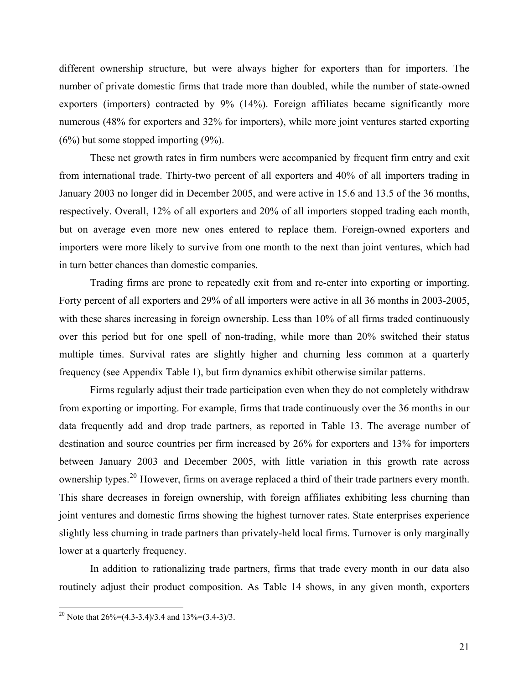different ownership structure, but were always higher for exporters than for importers. The number of private domestic firms that trade more than doubled, while the number of state-owned exporters (importers) contracted by 9% (14%). Foreign affiliates became significantly more numerous (48% for exporters and 32% for importers), while more joint ventures started exporting  $(6\%)$  but some stopped importing  $(9\%).$ 

These net growth rates in firm numbers were accompanied by frequent firm entry and exit from international trade. Thirty-two percent of all exporters and 40% of all importers trading in January 2003 no longer did in December 2005, and were active in 15.6 and 13.5 of the 36 months, respectively. Overall, 12% of all exporters and 20% of all importers stopped trading each month, but on average even more new ones entered to replace them. Foreign-owned exporters and importers were more likely to survive from one month to the next than joint ventures, which had in turn better chances than domestic companies.

Trading firms are prone to repeatedly exit from and re-enter into exporting or importing. Forty percent of all exporters and 29% of all importers were active in all 36 months in 2003-2005, with these shares increasing in foreign ownership. Less than 10% of all firms traded continuously over this period but for one spell of non-trading, while more than 20% switched their status multiple times. Survival rates are slightly higher and churning less common at a quarterly frequency (see Appendix Table 1), but firm dynamics exhibit otherwise similar patterns.

Firms regularly adjust their trade participation even when they do not completely withdraw from exporting or importing. For example, firms that trade continuously over the 36 months in our data frequently add and drop trade partners, as reported in Table 13. The average number of destination and source countries per firm increased by 26% for exporters and 13% for importers between January 2003 and December 2005, with little variation in this growth rate across ownership types.<sup>[20](#page-22-0)</sup> However, firms on average replaced a third of their trade partners every month. This share decreases in foreign ownership, with foreign affiliates exhibiting less churning than joint ventures and domestic firms showing the highest turnover rates. State enterprises experience slightly less churning in trade partners than privately-held local firms. Turnover is only marginally lower at a quarterly frequency.

In addition to rationalizing trade partners, firms that trade every month in our data also routinely adjust their product composition. As Table 14 shows, in any given month, exporters

<span id="page-22-0"></span><sup>&</sup>lt;sup>20</sup> Note that  $26\% = (4.3-3.4)/3.4$  and  $13\% = (3.4-3)/3$ .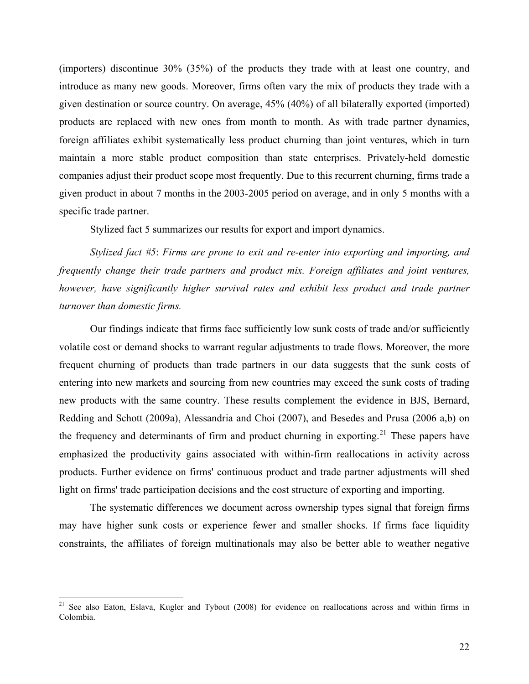(importers) discontinue 30% (35%) of the products they trade with at least one country, and introduce as many new goods. Moreover, firms often vary the mix of products they trade with a given destination or source country. On average, 45% (40%) of all bilaterally exported (imported) products are replaced with new ones from month to month. As with trade partner dynamics, foreign affiliates exhibit systematically less product churning than joint ventures, which in turn maintain a more stable product composition than state enterprises. Privately-held domestic companies adjust their product scope most frequently. Due to this recurrent churning, firms trade a given product in about 7 months in the 2003-2005 period on average, and in only 5 months with a specific trade partner.

Stylized fact 5 summarizes our results for export and import dynamics.

*Stylized fact #5*: *Firms are prone to exit and re-enter into exporting and importing, and frequently change their trade partners and product mix. Foreign affiliates and joint ventures, however, have significantly higher survival rates and exhibit less product and trade partner turnover than domestic firms.*

Our findings indicate that firms face sufficiently low sunk costs of trade and/or sufficiently volatile cost or demand shocks to warrant regular adjustments to trade flows. Moreover, the more frequent churning of products than trade partners in our data suggests that the sunk costs of entering into new markets and sourcing from new countries may exceed the sunk costs of trading new products with the same country. These results complement the evidence in BJS, Bernard, Redding and Schott (2009a), Alessandria and Choi (2007), and Besedes and Prusa (2006 a,b) on the frequency and determinants of firm and product churning in exporting.<sup>[21](#page-23-0)</sup> These papers have emphasized the productivity gains associated with within-firm reallocations in activity across products. Further evidence on firms' continuous product and trade partner adjustments will shed light on firms' trade participation decisions and the cost structure of exporting and importing.

The systematic differences we document across ownership types signal that foreign firms may have higher sunk costs or experience fewer and smaller shocks. If firms face liquidity constraints, the affiliates of foreign multinationals may also be better able to weather negative

<span id="page-23-0"></span><sup>&</sup>lt;sup>21</sup> See also Eaton, Eslava, Kugler and Tybout (2008) for evidence on reallocations across and within firms in Colombia.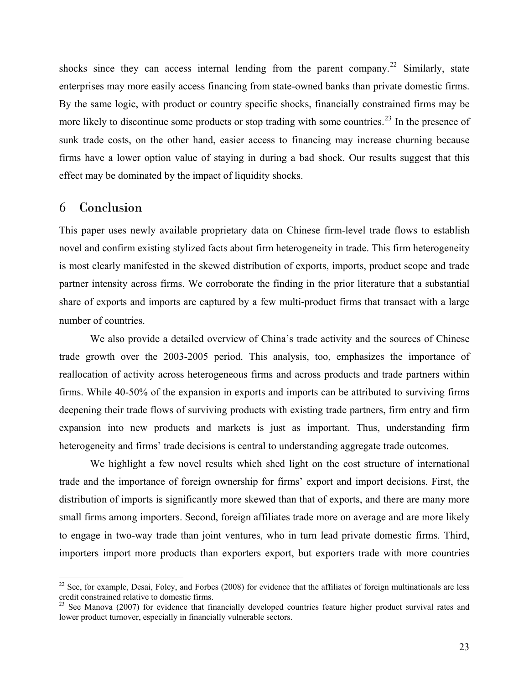shocks since they can access internal lending from the parent company.<sup>[22](#page-24-0)</sup> Similarly, state enterprises may more easily access financing from state-owned banks than private domestic firms. By the same logic, with product or country specific shocks, financially constrained firms may be more likely to discontinue some products or stop trading with some countries.<sup>[23](#page-24-1)</sup> In the presence of sunk trade costs, on the other hand, easier access to financing may increase churning because firms have a lower option value of staying in during a bad shock. Our results suggest that this effect may be dominated by the impact of liquidity shocks.

# 6 Conclusion

 $\overline{a}$ 

This paper uses newly available proprietary data on Chinese firm-level trade flows to establish novel and confirm existing stylized facts about firm heterogeneity in trade. This firm heterogeneity is most clearly manifested in the skewed distribution of exports, imports, product scope and trade partner intensity across firms. We corroborate the finding in the prior literature that a substantial share of exports and imports are captured by a few multi-product firms that transact with a large number of countries.

 We also provide a detailed overview of China's trade activity and the sources of Chinese trade growth over the 2003-2005 period. This analysis, too, emphasizes the importance of reallocation of activity across heterogeneous firms and across products and trade partners within firms. While 40-50% of the expansion in exports and imports can be attributed to surviving firms deepening their trade flows of surviving products with existing trade partners, firm entry and firm expansion into new products and markets is just as important. Thus, understanding firm heterogeneity and firms' trade decisions is central to understanding aggregate trade outcomes.

We highlight a few novel results which shed light on the cost structure of international trade and the importance of foreign ownership for firms' export and import decisions. First, the distribution of imports is significantly more skewed than that of exports, and there are many more small firms among importers. Second, foreign affiliates trade more on average and are more likely to engage in two-way trade than joint ventures, who in turn lead private domestic firms. Third, importers import more products than exporters export, but exporters trade with more countries

<span id="page-24-0"></span> $22$  See, for example, Desai, Foley, and Forbes (2008) for evidence that the affiliates of foreign multinationals are less credit constrained relative to domestic firms.

<span id="page-24-1"></span><sup>&</sup>lt;sup>23</sup> See Manova (2007) for evidence that financially developed countries feature higher product survival rates and lower product turnover, especially in financially vulnerable sectors.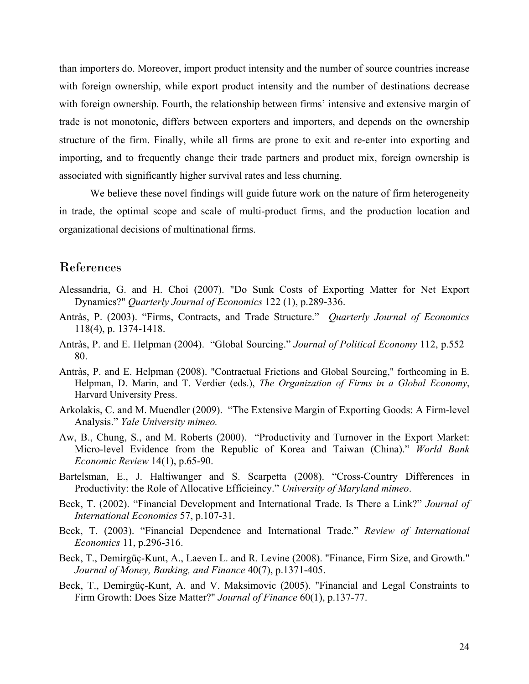than importers do. Moreover, import product intensity and the number of source countries increase with foreign ownership, while export product intensity and the number of destinations decrease with foreign ownership. Fourth, the relationship between firms' intensive and extensive margin of trade is not monotonic, differs between exporters and importers, and depends on the ownership structure of the firm. Finally, while all firms are prone to exit and re-enter into exporting and importing, and to frequently change their trade partners and product mix, foreign ownership is associated with significantly higher survival rates and less churning.

We believe these novel findings will guide future work on the nature of firm heterogeneity in trade, the optimal scope and scale of multi-product firms, and the production location and organizational decisions of multinational firms.

# References

- Alessandria, G. and H. Choi (2007). "Do Sunk Costs of Exporting Matter for Net Export Dynamics?" *Quarterly Journal of Economics* 122 (1), p.289-336.
- Antràs, P. (2003). "Firms, Contracts, and Trade Structure." *Quarterly Journal of Economics* 118(4), p. 1374-1418.
- Antràs, P. and E. Helpman (2004). "Global Sourcing." *Journal of Political Economy* 112, p.552– 80.
- Antràs, P. and E. Helpman (2008). "Contractual Frictions and Global Sourcing," forthcoming in E. Helpman, D. Marin, and T. Verdier (eds.), *The Organization of Firms in a Global Economy*, Harvard University Press.
- Arkolakis, C. and M. Muendler (2009). "The Extensive Margin of Exporting Goods: A Firm-level Analysis." *Yale University mimeo.*
- Aw, B., Chung, S., and M. Roberts (2000). "Productivity and Turnover in the Export Market: Micro-level Evidence from the Republic of Korea and Taiwan (China)." *World Bank Economic Review* 14(1), p.65-90.
- Bartelsman, E., J. Haltiwanger and S. Scarpetta (2008). "Cross-Country Differences in Productivity: the Role of Allocative Efficieincy." *University of Maryland mimeo*.
- Beck, T. (2002). "Financial Development and International Trade. Is There a Link?" *Journal of International Economics* 57, p.107-31.
- Beck, T. (2003). "Financial Dependence and International Trade." *Review of International Economics* 11, p.296-316.
- Beck, T., Demirgüç-Kunt, A., Laeven L. and R. Levine (2008). "Finance, Firm Size, and Growth." *Journal of Money, Banking, and Finance* 40(7), p.1371-405.
- Beck, T., Demirgüç-Kunt, A. and V. Maksimovic (2005). "Financial and Legal Constraints to Firm Growth: Does Size Matter?" *Journal of Finance* 60(1), p.137-77.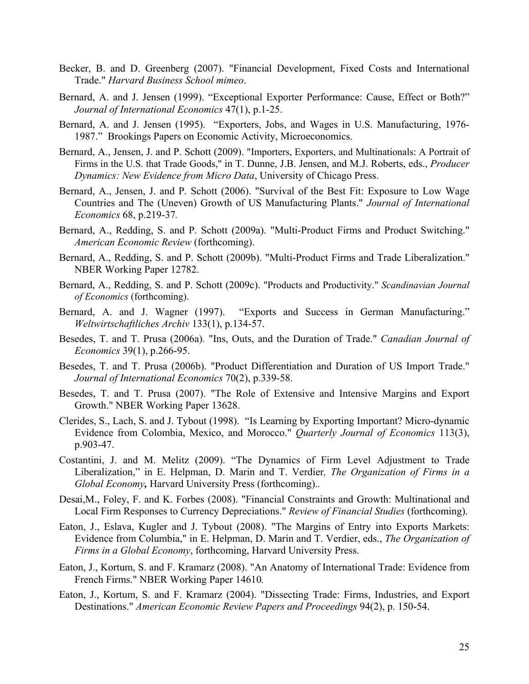- Becker, B. and D. Greenberg (2007). "Financial Development, Fixed Costs and International Trade." *Harvard Business School mimeo*.
- Bernard, A. and J. Jensen (1999). "Exceptional Exporter Performance: Cause, Effect or Both?" *Journal of International Economics* 47(1), p.1-25.
- Bernard, A. and J. Jensen (1995). "Exporters, Jobs, and Wages in U.S. Manufacturing, 1976- 1987." Brookings Papers on Economic Activity, Microeconomics.
- Bernard, A., Jensen, J. and P. Schott (2009). "Importers, Exporters, and Multinationals: A Portrait of Firms in the U.S. that Trade Goods," in T. Dunne, J.B. Jensen, and M.J. Roberts, eds., *Producer Dynamics: New Evidence from Micro Data*, University of Chicago Press.
- Bernard, A., Jensen, J. and P. Schott (2006). "Survival of the Best Fit: Exposure to Low Wage Countries and The (Uneven) Growth of US Manufacturing Plants." *Journal of International Economics* 68, p.219-37*.*
- Bernard, A., Redding, S. and P. Schott (2009a). "Multi-Product Firms and Product Switching." *American Economic Review* (forthcoming).
- Bernard, A., Redding, S. and P. Schott (2009b). "Multi-Product Firms and Trade Liberalization." NBER Working Paper 12782.
- Bernard, A., Redding, S. and P. Schott (2009c). "Products and Productivity." *Scandinavian Journal of Economics* (forthcoming).
- Bernard, A. and J. Wagner (1997). "Exports and Success in German Manufacturing." *Weltwirtschaftliches Archiv* 133(1), p.134-57.
- Besedes, T. and T. Prusa (2006a). "Ins, Outs, and the Duration of Trade." *Canadian Journal of Economics* 39(1), p.266-95.
- Besedes, T. and T. Prusa (2006b). "Product Differentiation and Duration of US Import Trade." *Journal of International Economics* 70(2), p.339-58.
- Besedes, T. and T. Prusa (2007). "The Role of Extensive and Intensive Margins and Export Growth." NBER Working Paper 13628.
- Clerides, S., Lach, S. and J. Tybout (1998). "Is Learning by Exporting Important? Micro-dynamic Evidence from Colombia, Mexico, and Morocco." *Quarterly Journal of Economics* 113(3), p.903-47.
- Costantini, J. and M. Melitz (2009). "The Dynamics of Firm Level Adjustment to Trade Liberalization," in E. Helpman, D. Marin and T. Verdier*, The Organization of Firms in a Global Economy,* Harvard University Press (forthcoming).*.*
- Desai,M., Foley, F. and K. Forbes (2008). "Financial Constraints and Growth: Multinational and Local Firm Responses to Currency Depreciations." *Review of Financial Studies* (forthcoming).
- Eaton, J., Eslava, Kugler and J. Tybout (2008). "The Margins of Entry into Exports Markets: Evidence from Columbia," in E. Helpman, D. Marin and T. Verdier, eds., *The Organization of Firms in a Global Economy*, forthcoming, Harvard University Press.
- Eaton, J., Kortum, S. and F. Kramarz (2008). "An Anatomy of International Trade: Evidence from French Firms." NBER Working Paper 14610*.*
- Eaton, J., Kortum, S. and F. Kramarz (2004). "Dissecting Trade: Firms, Industries, and Export Destinations." *American Economic Review Papers and Proceedings* 94(2), p. 150-54.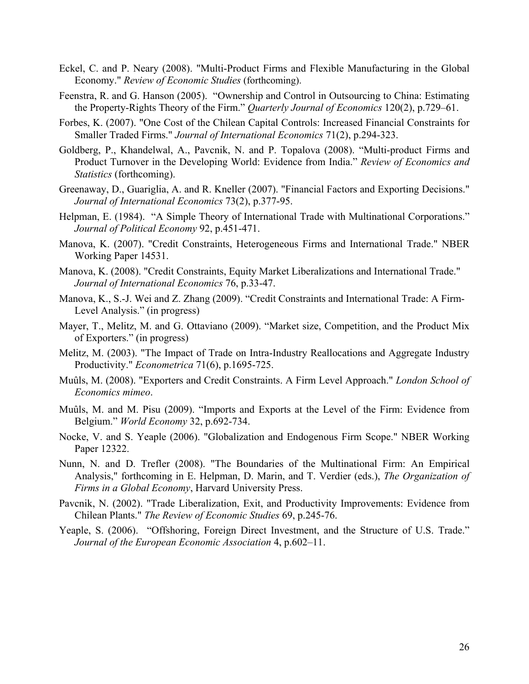- Eckel, C. and P. Neary (2008). "Multi-Product Firms and Flexible Manufacturing in the Global Economy." *Review of Economic Studies* (forthcoming).
- Feenstra, R. and G. Hanson (2005). "Ownership and Control in Outsourcing to China: Estimating the Property-Rights Theory of the Firm." *Quarterly Journal of Economics* 120(2), p.729–61.
- Forbes, K. (2007). "One Cost of the Chilean Capital Controls: Increased Financial Constraints for Smaller Traded Firms." *Journal of International Economics* 71(2), p.294-323.
- Goldberg, P., Khandelwal, A., Pavcnik, N. and P. Topalova (2008). "Multi-product Firms and Product Turnover in the Developing World: Evidence from India." *Review of Economics and Statistics* (forthcoming).
- Greenaway, D., Guariglia, A. and R. Kneller (2007). "Financial Factors and Exporting Decisions." *Journal of International Economics* 73(2), p.377-95.
- Helpman, E. (1984). "A Simple Theory of International Trade with Multinational Corporations." *Journal of Political Economy* 92, p.451-471.
- Manova, K. (2007). "Credit Constraints, Heterogeneous Firms and International Trade." NBER Working Paper 14531.
- Manova, K. (2008). "Credit Constraints, Equity Market Liberalizations and International Trade." *Journal of International Economics* 76, p.33-47.
- Manova, K., S.-J. Wei and Z. Zhang (2009). "Credit Constraints and International Trade: A Firm-Level Analysis." (in progress)
- Mayer, T., Melitz, M. and G. Ottaviano (2009). "Market size, Competition, and the Product Mix of Exporters." (in progress)
- Melitz, M. (2003). "The Impact of Trade on Intra-Industry Reallocations and Aggregate Industry Productivity." *Econometrica* 71(6), p.1695-725.
- Muûls, M. (2008). "Exporters and Credit Constraints. A Firm Level Approach." *London School of Economics mimeo*.
- Muûls, M. and M. Pisu (2009). "Imports and Exports at the Level of the Firm: Evidence from Belgium." *World Economy* 32, p.692-734.
- Nocke, V. and S. Yeaple (2006). "Globalization and Endogenous Firm Scope." NBER Working Paper 12322.
- Nunn, N. and D. Trefler (2008). "The Boundaries of the Multinational Firm: An Empirical Analysis," forthcoming in E. Helpman, D. Marin, and T. Verdier (eds.), *The Organization of Firms in a Global Economy*, Harvard University Press.
- Pavcnik, N. (2002). "Trade Liberalization, Exit, and Productivity Improvements: Evidence from Chilean Plants." *The Review of Economic Studies* 69, p.245-76.
- Yeaple, S. (2006). "Offshoring, Foreign Direct Investment, and the Structure of U.S. Trade." *Journal of the European Economic Association* 4, p.602–11.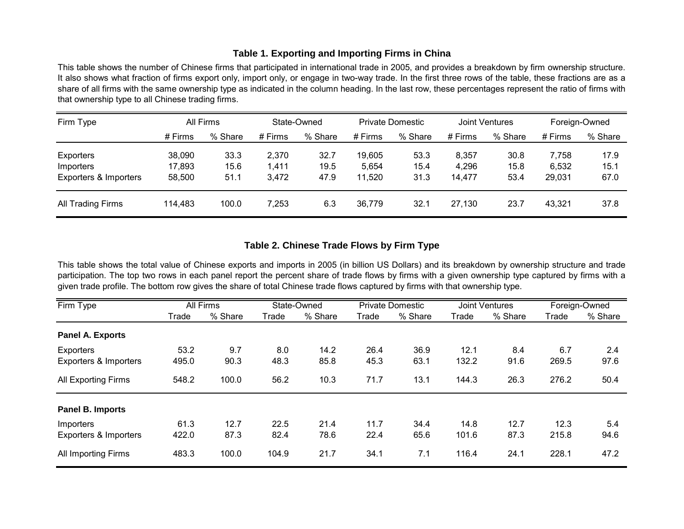#### **Table 1. Exporting and Importing Firms in China**

This table shows the number of Chinese firms that participated in international trade in 2005, and provides a breakdown by firm ownership structure. It also shows what fraction of firms export only, import only, or engage in two-way trade. In the first three rows of the table, these fractions are as a share of all firms with the same ownership type as indicated in the column heading. In the last row, these percentages represent the ratio of firms with that ownership type to all Chinese trading firms.

| Firm Type             | All Firms |         | State-Owned |         | <b>Private Domestic</b> |         | <b>Joint Ventures</b> |         | Foreign-Owned |         |
|-----------------------|-----------|---------|-------------|---------|-------------------------|---------|-----------------------|---------|---------------|---------|
|                       | # Firms   | % Share | $#$ Firms   | % Share | # Firms                 | % Share | $#$ Firms             | % Share | # Firms       | % Share |
| Exporters             | 38,090    | 33.3    | 2,370       | 32.7    | 19,605                  | 53.3    | 8,357                 | 30.8    | 7,758         | 17.9    |
| Importers             | 17,893    | 15.6    | 1,411       | 19.5    | 5,654                   | 15.4    | 4,296                 | 15.8    | 6,532         | 15.1    |
| Exporters & Importers | 58,500    | 51.1    | 3,472       | 47.9    | 11,520                  | 31.3    | 14,477                | 53.4    | 29,031        | 67.0    |
| All Trading Firms     | 114,483   | 100.0   | 7,253       | 6.3     | 36,779                  | 32.1    | 27.130                | 23.7    | 43.321        | 37.8    |

## **Table 2. Chinese Trade Flows by Firm Type**

This table shows the total value of Chinese exports and imports in 2005 (in billion US Dollars) and its breakdown by ownership structure and trade participation. The top two rows in each panel report the percent share of trade flows by firms with a given ownership type captured by firms with a given trade profile. The bottom row gives the share of total Chinese trade flows captured by firms with that ownership type.

| Firm Type                  |       | All Firms |       | State-Owned |       | <b>Private Domestic</b> |       | Joint Ventures | Foreign-Owned |         |
|----------------------------|-------|-----------|-------|-------------|-------|-------------------------|-------|----------------|---------------|---------|
|                            | Trade | % Share   | Trade | % Share     | Trade | % Share                 | Trade | % Share        | Trade         | % Share |
| <b>Panel A. Exports</b>    |       |           |       |             |       |                         |       |                |               |         |
| <b>Exporters</b>           | 53.2  | 9.7       | 8.0   | 14.2        | 26.4  | 36.9                    | 12.1  | 8.4            | 6.7           | 2.4     |
| Exporters & Importers      | 495.0 | 90.3      | 48.3  | 85.8        | 45.3  | 63.1                    | 132.2 | 91.6           | 269.5         | 97.6    |
| <b>All Exporting Firms</b> | 548.2 | 100.0     | 56.2  | 10.3        | 71.7  | 13.1                    | 144.3 | 26.3           | 276.2         | 50.4    |
| Panel B. Imports           |       |           |       |             |       |                         |       |                |               |         |
| Importers                  | 61.3  | 12.7      | 22.5  | 21.4        | 11.7  | 34.4                    | 14.8  | 12.7           | 12.3          | 5.4     |
| Exporters & Importers      | 422.0 | 87.3      | 82.4  | 78.6        | 22.4  | 65.6                    | 101.6 | 87.3           | 215.8         | 94.6    |
| <b>All Importing Firms</b> | 483.3 | 100.0     | 104.9 | 21.7        | 34.1  | 7.1                     | 116.4 | 24.1           | 228.1         | 47.2    |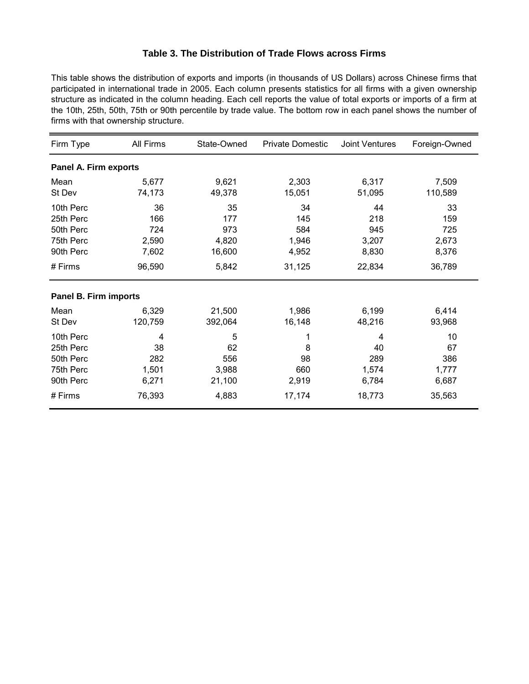#### **Table 3. The Distribution of Trade Flows across Firms**

This table shows the distribution of exports and imports (in thousands of US Dollars) across Chinese firms that participated in international trade in 2005. Each column presents statistics for all firms with a given ownership structure as indicated in the column heading. Each cell reports the value of total exports or imports of a firm at the 10th, 25th, 50th, 75th or 90th percentile by trade value. The bottom row in each panel shows the number of firms with that ownership structure.

| Firm Type                                                                | All Firms                                    | State-Owned                                  | <b>Private Domestic</b>                      | <b>Joint Ventures</b>                        | Foreign-Owned                                |
|--------------------------------------------------------------------------|----------------------------------------------|----------------------------------------------|----------------------------------------------|----------------------------------------------|----------------------------------------------|
| Panel A. Firm exports                                                    |                                              |                                              |                                              |                                              |                                              |
| Mean<br>St Dev                                                           | 5,677<br>74,173                              | 9,621<br>49,378                              | 2,303<br>15,051                              | 6,317<br>51,095                              | 7,509<br>110,589                             |
| 10th Perc<br>25th Perc<br>50th Perc<br>75th Perc<br>90th Perc<br># Firms | 36<br>166<br>724<br>2,590<br>7,602<br>96,590 | 35<br>177<br>973<br>4,820<br>16,600<br>5,842 | 34<br>145<br>584<br>1,946<br>4,952<br>31,125 | 44<br>218<br>945<br>3,207<br>8,830<br>22,834 | 33<br>159<br>725<br>2,673<br>8,376<br>36,789 |
| Panel B. Firm imports                                                    |                                              |                                              |                                              |                                              |                                              |
| Mean<br>St Dev                                                           | 6,329<br>120,759                             | 21,500<br>392,064                            | 1,986<br>16,148                              | 6,199<br>48,216                              | 6,414<br>93,968                              |
| 10th Perc<br>25th Perc<br>50th Perc<br>75th Perc<br>90th Perc            | 4<br>38<br>282<br>1,501<br>6,271             | 5<br>62<br>556<br>3,988<br>21,100            | 8<br>98<br>660<br>2,919                      | 4<br>40<br>289<br>1,574<br>6,784             | 10<br>67<br>386<br>1,777<br>6,687            |
| # Firms                                                                  | 76,393                                       | 4,883                                        | 17,174                                       | 18,773                                       | 35,563                                       |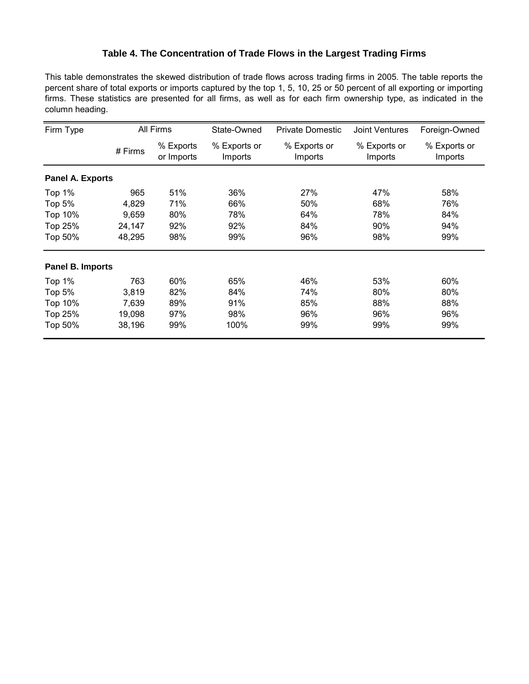## **Table 4. The Concentration of Trade Flows in the Largest Trading Firms**

This table demonstrates the skewed distribution of trade flows across trading firms in 2005. The table reports the percent share of total exports or imports captured by the top 1, 5, 10, 25 or 50 percent of all exporting or importing firms. These statistics are presented for all firms, as well as for each firm ownership type, as indicated in the column heading.

| Firm Type               |         | All Firms               | State-Owned             | <b>Private Domestic</b> | <b>Joint Ventures</b>   | Foreign-Owned           |
|-------------------------|---------|-------------------------|-------------------------|-------------------------|-------------------------|-------------------------|
|                         | # Firms | % Exports<br>or Imports | % Exports or<br>Imports | % Exports or<br>Imports | % Exports or<br>Imports | % Exports or<br>Imports |
| <b>Panel A. Exports</b> |         |                         |                         |                         |                         |                         |
| Top $1%$                | 965     | 51%                     | 36%                     | 27%                     | 47%                     | 58%                     |
| Top $5%$                | 4,829   | 71%                     | 66%                     | 50%                     | 68%                     | 76%                     |
| Top 10%                 | 9,659   | 80%                     | 78%                     | 64%                     | 78%                     | 84%                     |
| Top 25%                 | 24,147  | 92%                     | 92%                     | 84%                     | 90%                     | 94%                     |
| Top 50%                 | 48,295  | 98%                     | 99%                     | 96%                     | 98%                     | 99%                     |
| <b>Panel B. Imports</b> |         |                         |                         |                         |                         |                         |
| Top 1%                  | 763     | 60%                     | 65%                     | 46%                     | 53%                     | 60%                     |
| Top 5%                  | 3,819   | 82%                     | 84%                     | 74%                     | 80%                     | 80%                     |
| Top 10%                 | 7,639   | 89%                     | 91%                     | 85%                     | 88%                     | 88%                     |
| Top 25%                 | 19,098  | 97%                     | 98%                     | 96%                     | 96%                     | 96%                     |
| Top 50%                 | 38,196  | 99%                     | 100%                    | 99%                     | 99%                     | 99%                     |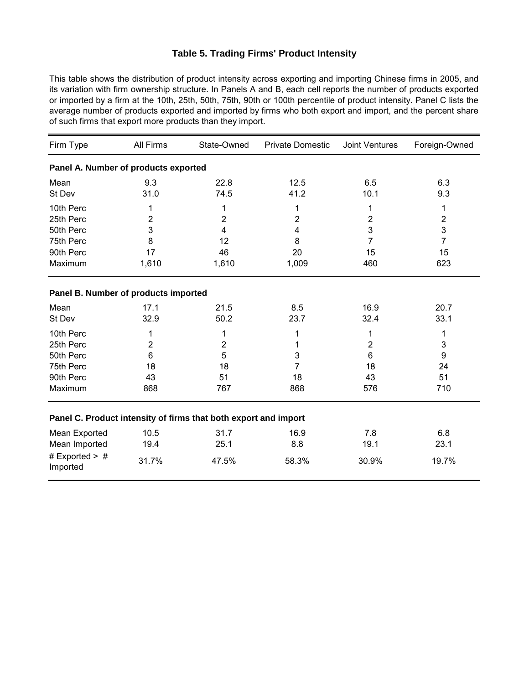#### **Table 5. Trading Firms' Product Intensity**

This table shows the distribution of product intensity across exporting and importing Chinese firms in 2005, and its variation with firm ownership structure. In Panels A and B, each cell reports the number of products exported or imported by a firm at the 10th, 25th, 50th, 75th, 90th or 100th percentile of product intensity. Panel C lists the average number of products exported and imported by firms who both export and import, and the percent share of such firms that export more products than they import.

| Firm Type                            | All Firms      | State-Owned                                                     | <b>Private Domestic</b> | <b>Joint Ventures</b> | Foreign-Owned  |
|--------------------------------------|----------------|-----------------------------------------------------------------|-------------------------|-----------------------|----------------|
| Panel A. Number of products exported |                |                                                                 |                         |                       |                |
| Mean                                 | 9.3            | 22.8                                                            | 12.5                    | 6.5                   | 6.3            |
| St Dev                               | 31.0           | 74.5                                                            | 41.2                    | 10.1                  | 9.3            |
| 10th Perc                            | 1              | 1                                                               | 1                       | 1                     | 1              |
| 25th Perc                            | $\overline{2}$ | 2                                                               | 2                       | 2                     | $\overline{2}$ |
| 50th Perc                            | 3              | 4                                                               | 4                       | 3                     | 3              |
| 75th Perc                            | 8              | 12                                                              | 8                       | 7                     | $\overline{7}$ |
| 90th Perc                            | 17             | 46                                                              | 20                      | 15                    | 15             |
| Maximum                              | 1,610          | 1,610                                                           | 1,009                   | 460                   | 623            |
| Panel B. Number of products imported |                |                                                                 |                         |                       |                |
| Mean                                 | 17.1           | 21.5                                                            | 8.5                     | 16.9                  | 20.7           |
| St Dev                               | 32.9           | 50.2                                                            | 23.7                    | 32.4                  | 33.1           |
| 10th Perc                            | 1              | 1                                                               | 1                       | 1                     | 1              |
| 25th Perc                            | 2              | 2                                                               |                         | $\overline{2}$        | 3              |
| 50th Perc                            | 6              | 5                                                               | 3                       | 6                     | 9              |
| 75th Perc                            | 18             | 18                                                              | 7                       | 18                    | 24             |
| 90th Perc                            | 43             | 51                                                              | 18                      | 43                    | 51             |
| Maximum                              | 868            | 767                                                             | 868                     | 576                   | 710            |
|                                      |                | Panel C. Product intensity of firms that both export and import |                         |                       |                |
| Mean Exported                        | 10.5           | 31.7                                                            | 16.9                    | 7.8                   | 6.8            |
| Mean Imported                        | 19.4           | 25.1                                                            | 8.8                     | 19.1                  | 23.1           |
| # Exported $>$ #<br>Imported         | 31.7%          | 47.5%                                                           | 58.3%                   | 30.9%                 | 19.7%          |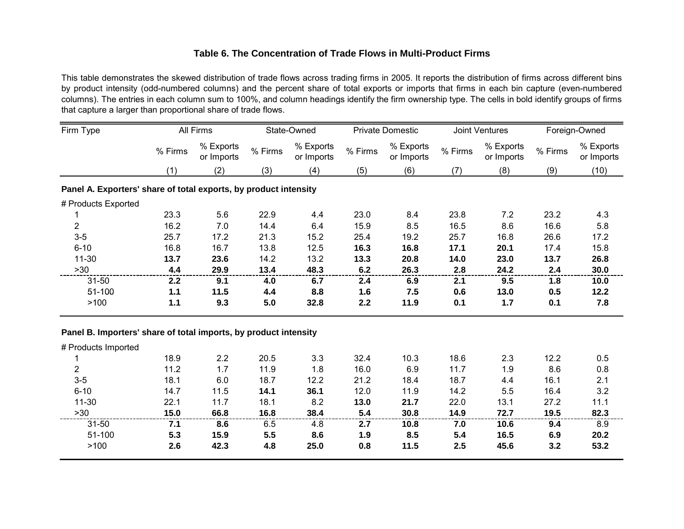#### **Table 6. The Concentration of Trade Flows in Multi-Product Firms**

This table demonstrates the skewed distribution of trade flows across trading firms in 2005. It reports the distribution of firms across different bins by product intensity (odd-numbered columns) and the percent share of total exports or imports that firms in each bin capture (even-numbered columns). The entries in each column sum to 100%, and column headings identify the firm ownership type. The cells in bold identify groups of firms that capture a larger than proportional share of trade flows.

| Firm Type                                                        |                  | All Firms               |         | State-Owned             |         | <b>Private Domestic</b> |         | <b>Joint Ventures</b>   |         | Foreign-Owned           |
|------------------------------------------------------------------|------------------|-------------------------|---------|-------------------------|---------|-------------------------|---------|-------------------------|---------|-------------------------|
|                                                                  | % Firms          | % Exports<br>or Imports | % Firms | % Exports<br>or Imports | % Firms | % Exports<br>or Imports | % Firms | % Exports<br>or Imports | % Firms | % Exports<br>or Imports |
|                                                                  | (1)              | (2)                     | (3)     | (4)                     | (5)     | (6)                     | (7)     | (8)                     | (9)     | (10)                    |
| Panel A. Exporters' share of total exports, by product intensity |                  |                         |         |                         |         |                         |         |                         |         |                         |
| # Products Exported                                              |                  |                         |         |                         |         |                         |         |                         |         |                         |
|                                                                  | 23.3             | 5.6                     | 22.9    | 4.4                     | 23.0    | 8.4                     | 23.8    | 7.2                     | 23.2    | 4.3                     |
| $\overline{2}$                                                   | 16.2             | 7.0                     | 14.4    | 6.4                     | 15.9    | 8.5                     | 16.5    | 8.6                     | 16.6    | 5.8                     |
| $3-5$                                                            | 25.7             | 17.2                    | 21.3    | 15.2                    | 25.4    | 19.2                    | 25.7    | 16.8                    | 26.6    | 17.2                    |
| $6 - 10$                                                         | 16.8             | 16.7                    | 13.8    | 12.5                    | 16.3    | 16.8                    | 17.1    | 20.1                    | 17.4    | 15.8                    |
| $11 - 30$                                                        | 13.7             | 23.6                    | 14.2    | 13.2                    | 13.3    | 20.8                    | 14.0    | 23.0                    | 13.7    | 26.8                    |
| >30                                                              | 4.4              | 29.9                    | 13.4    | 48.3                    | 6.2     | 26.3                    | 2.8     | 24.2                    | 2.4     | 30.0                    |
| $31 - 50$                                                        | 2.2 <sub>2</sub> | 9.1                     | 4.0     | 6.7                     | 2.4     | 6.9                     | 2.1     | 9.5                     | 1.8     | 10.0                    |
| 51-100                                                           | 1.1              | 11.5                    | 4.4     | 8.8                     | 1.6     | 7.5                     | 0.6     | 13.0                    | 0.5     | 12.2                    |
| >100                                                             | 1.1              | 9.3                     | 5.0     | 32.8                    | 2.2     | 11.9                    | 0.1     | 1.7                     | 0.1     | 7.8                     |

#### **Panel B. Importers' share of total imports, by product intensity**

| # Products Imported |      |      |      |      |      |      |      |      |      |      |
|---------------------|------|------|------|------|------|------|------|------|------|------|
|                     | 18.9 | 2.2  | 20.5 | 3.3  | 32.4 | 10.3 | 18.6 | 2.3  | 12.2 | 0.5  |
| 2                   | 11.2 | 1.7  | 11.9 | 1.8  | 16.0 | 6.9  | 11.7 | 1.9  | 8.6  | 0.8  |
| $3-5$               | 18.1 | 6.0  | 18.7 | 12.2 | 21.2 | 18.4 | 18.7 | 4.4  | 16.1 | 2.1  |
| $6 - 10$            | 14.7 | 11.5 | 14.1 | 36.1 | 12.0 | 11.9 | 14.2 | 5.5  | 16.4 | 3.2  |
| $11 - 30$           | 22.1 | 11.7 | 18.1 | 8.2  | 13.0 | 21.7 | 22.0 | 13.1 | 27.2 | 11.1 |
| >30                 | 15.0 | 66.8 | 16.8 | 38.4 | 5.4  | 30.8 | 14.9 | 72.7 | 19.5 | 82.3 |
| $31 - 50$           | 7.1  | 8.6  | 6.5  | 4.8  | 2.7  | 10.8 | 7.0  | 10.6 | 9.4  | 8.9  |
| 51-100              | 5.3  | 15.9 | 5.5  | 8.6  | 1.9  | 8.5  | 5.4  | 16.5 | 6.9  | 20.2 |
| >100                | 2.6  | 42.3 | 4.8  | 25.0 | 0.8  | 11.5 | 2.5  | 45.6 | 3.2  | 53.2 |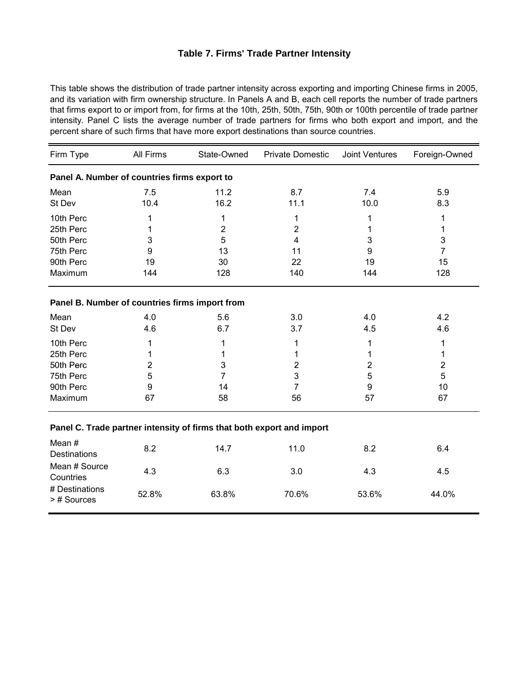#### **Table 7. Firms' Trade Partner Intensity**

This table shows the distribution of trade partner intensity across exporting and importing Chinese firms in 2005, and its variation with firm ownership structure. In Panels A and B, each cell reports the number of trade partners that firms export to or import from, for firms at the 10th, 25th, 50th, 75th, 90th or 100th percentile of trade partner intensity. Panel C lists the average number of trade partners for firms who both export and import, and the percent share of such firms that have more export destinations than source countries.

| Firm Type                                      | All Firms | State-Owned                                                           | <b>Private Domestic</b> | <b>Joint Ventures</b> | Foreign-Owned  |
|------------------------------------------------|-----------|-----------------------------------------------------------------------|-------------------------|-----------------------|----------------|
| Panel A. Number of countries firms export to   |           |                                                                       |                         |                       |                |
| Mean                                           | 7.5       | 11.2                                                                  | 8.7                     | 7.4                   | 5.9            |
| St Dev                                         | 10.4      | 16.2                                                                  | 11.1                    | 10.0                  | 8.3            |
| 10th Perc                                      | 1         | 1                                                                     | 1                       | 1                     | 1              |
| 25th Perc                                      | 1         | 2                                                                     | 2                       | 1                     | 1              |
| 50th Perc                                      | 3         | 5                                                                     | 4                       | 3                     | 3              |
| 75th Perc                                      | 9         | 13                                                                    | 11                      | 9                     | $\overline{7}$ |
| 90th Perc                                      | 19        | 30                                                                    | 22                      | 19                    | 15             |
| Maximum                                        | 144       | 128                                                                   | 140                     | 144                   | 128            |
| Panel B. Number of countries firms import from |           |                                                                       |                         |                       |                |
| Mean                                           | 4.0       | 5.6                                                                   | 3.0                     | 4.0                   | 4.2            |
| St Dev                                         | 4.6       | 6.7                                                                   | 3.7                     | 4.5                   | 4.6            |
| 10th Perc                                      | 1         | 1                                                                     | 1                       | 1                     | 1              |
| 25th Perc                                      |           | 1                                                                     | 1                       | 1                     | 1              |
| 50th Perc                                      | 2         | 3                                                                     | 2                       | $\overline{2}$        | 2              |
| 75th Perc                                      | 5         | 7                                                                     | 3                       | 5                     | 5              |
| 90th Perc                                      | 9         | 14                                                                    | 7                       | 9                     | 10             |
| Maximum                                        | 67        | 58                                                                    | 56                      | 57                    | 67             |
|                                                |           | Panel C. Trade partner intensity of firms that both export and import |                         |                       |                |
| Mean#<br><b>Destinations</b>                   | 8.2       | 14.7                                                                  | 11.0                    | 8.2                   | 6.4            |
| Mean # Source<br>Countries                     | 4.3       | 6.3                                                                   | 3.0                     | 4.3                   | 4.5            |
| # Destinations<br>>#Sources                    | 52.8%     | 63.8%                                                                 | 70.6%                   | 53.6%                 | 44.0%          |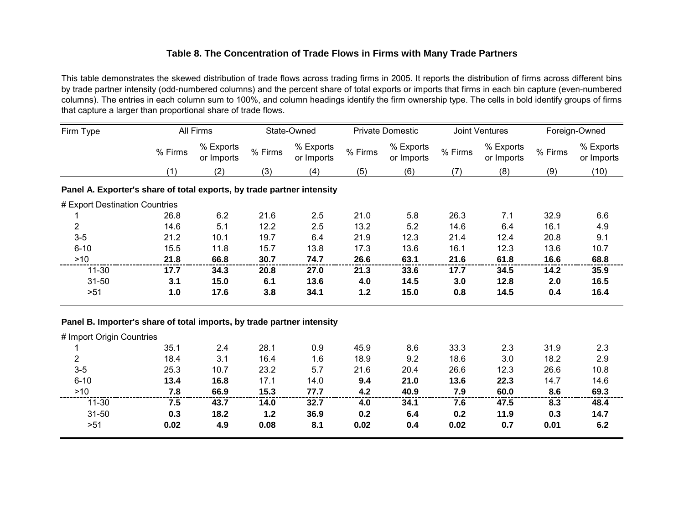#### **Table 8. The Concentration of Trade Flows in Firms with Many Trade Partners**

This table demonstrates the skewed distribution of trade flows across trading firms in 2005. It reports the distribution of firms across different bins by trade partner intensity (odd-numbered columns) and the percent share of total exports or imports that firms in each bin capture (even-numbered columns). The entries in each column sum to 100%, and column headings identify the firm ownership type. The cells in bold identify groups of firms that capture a larger than proportional share of trade flows.

| Firm Type                                                              |         | All Firms               |         | State-Owned             |         | <b>Private Domestic</b> |         | Joint Ventures          |         | Foreign-Owned           |
|------------------------------------------------------------------------|---------|-------------------------|---------|-------------------------|---------|-------------------------|---------|-------------------------|---------|-------------------------|
|                                                                        | % Firms | % Exports<br>or Imports | % Firms | % Exports<br>or Imports | % Firms | % Exports<br>or Imports | % Firms | % Exports<br>or Imports | % Firms | % Exports<br>or Imports |
|                                                                        | (1)     | (2)                     | (3)     | (4)                     | (5)     | (6)                     | (7)     | (8)                     | (9)     | (10)                    |
| Panel A. Exporter's share of total exports, by trade partner intensity |         |                         |         |                         |         |                         |         |                         |         |                         |
| # Export Destination Countries                                         |         |                         |         |                         |         |                         |         |                         |         |                         |
|                                                                        | 26.8    | 6.2                     | 21.6    | 2.5                     | 21.0    | 5.8                     | 26.3    | 7.1                     | 32.9    | 6.6                     |
| $\overline{2}$                                                         | 14.6    | 5.1                     | 12.2    | 2.5                     | 13.2    | 5.2                     | 14.6    | 6.4                     | 16.1    | 4.9                     |
| $3-5$                                                                  | 21.2    | 10.1                    | 19.7    | 6.4                     | 21.9    | 12.3                    | 21.4    | 12.4                    | 20.8    | 9.1                     |
| $6 - 10$                                                               | 15.5    | 11.8                    | 15.7    | 13.8                    | 17.3    | 13.6                    | 16.1    | 12.3                    | 13.6    | 10.7                    |
| $>10$                                                                  | 21.8    | 66.8                    | 30.7    | 74.7                    | 26.6    | 63.1                    | 21.6    | 61.8                    | 16.6    | 68.8                    |
| $11 - 30$                                                              | 17.7    | 34.3                    | 20.8    | 27.0                    | 21.3    | 33.6                    | 17.7    | 34.5                    | 14.2    | 35.9                    |
| $31 - 50$                                                              | 3.1     | 15.0                    | 6.1     | 13.6                    | 4.0     | 14.5                    | 3.0     | 12.8                    | 2.0     | 16.5                    |
| $>51$                                                                  | $1.0$   | 17.6                    | 3.8     | 34.1                    | $1.2$   | 15.0                    | 0.8     | 14.5                    | 0.4     | 16.4                    |
| Panel B. Importer's share of total imports, by trade partner intensity |         |                         |         |                         |         |                         |         |                         |         |                         |
| # Import Origin Countries                                              |         |                         |         |                         |         |                         |         |                         |         |                         |
|                                                                        | 35.1    | 2.4                     | 28.1    | 0.9                     | 45.9    | 8.6                     | 33.3    | 2.3                     | 31.9    | 2.3                     |
| $\overline{2}$                                                         | 18.4    | 3.1                     | 16.4    | 1.6                     | 18.9    | 9.2                     | 18.6    | 3.0                     | 18.2    | 2.9                     |
| $3-5$                                                                  | 25.3    | 10.7                    | 23.2    | 5.7                     | 21.6    | 20.4                    | 26.6    | 12.3                    | 26.6    | 10.8                    |
| $6 - 10$                                                               | 13.4    | 16.8                    | 17.1    | 14.0                    | 9.4     | 21.0                    | 13.6    | 22.3                    | 14.7    | 14.6                    |
| $>10$                                                                  | 7.8     | 66.9                    | 15.3    | 77.7                    | 4.2     | 40.9                    | 7.9     | 60.0                    | 8.6     | 69.3                    |
| $11 - 30$                                                              | 7.5     | 43.7                    | 14.0    | 32.7                    | 4.0     | 34.1                    | 7.6     | 47.5                    | 8.3     | 48.4                    |
| $31 - 50$                                                              | 0.3     | 18.2                    | 1.2     | 36.9                    | 0.2     | 6.4                     | 0.2     | 11.9                    | 0.3     | 14.7                    |
| $>51$                                                                  | 0.02    | 4.9                     | 0.08    | 8.1                     | 0.02    | 0.4                     | 0.02    | 0.7                     | 0.01    | 6.2                     |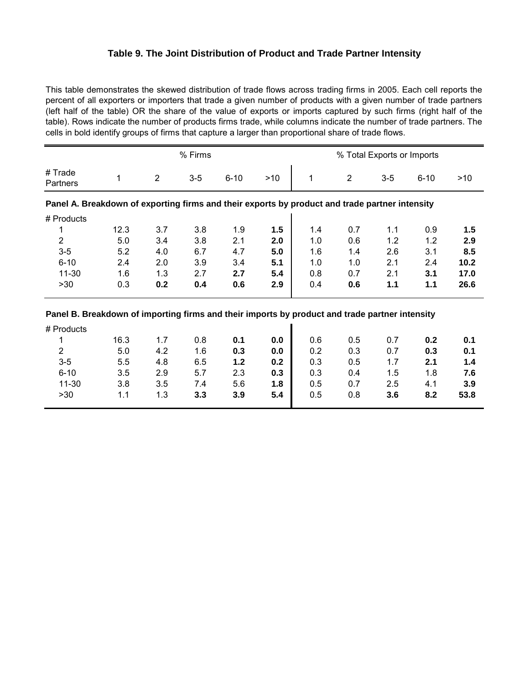#### **Table 9. The Joint Distribution of Product and Trade Partner Intensity**

This table demonstrates the skewed distribution of trade flows across trading firms in 2005. Each cell reports the percent of all exporters or importers that trade a given number of products with a given number of trade partners (left half of the table) OR the share of the value of exports or imports captured by such firms (right half of the table). Rows indicate the number of products firms trade, while columns indicate the number of trade partners. The cells in bold identify groups of firms that capture a larger than proportional share of trade flows.

|                                                                                                | % Firms |                |       |          |     |     |                | % Total Exports or Imports |          |      |
|------------------------------------------------------------------------------------------------|---------|----------------|-------|----------|-----|-----|----------------|----------------------------|----------|------|
| # Trade<br>Partners                                                                            | 1       | $\overline{2}$ | $3-5$ | $6 - 10$ | >10 | 1   | $\overline{2}$ | $3-5$                      | $6 - 10$ | >10  |
| Panel A. Breakdown of exporting firms and their exports by product and trade partner intensity |         |                |       |          |     |     |                |                            |          |      |
| # Products                                                                                     |         |                |       |          |     |     |                |                            |          |      |
| 1                                                                                              | 12.3    | 3.7            | 3.8   | 1.9      | 1.5 | 1.4 | 0.7            | 1.1                        | 0.9      | 1.5  |
| $\overline{2}$                                                                                 | 5.0     | 3.4            | 3.8   | 2.1      | 2.0 | 1.0 | 0.6            | 1.2                        | 1.2      | 2.9  |
| $3-5$                                                                                          | 5.2     | 4.0            | 6.7   | 4.7      | 5.0 | 1.6 | 1.4            | 2.6                        | 3.1      | 8.5  |
| $6 - 10$                                                                                       | 2.4     | 2.0            | 3.9   | 3.4      | 5.1 | 1.0 | 1.0            | 2.1                        | 2.4      | 10.2 |
| $11 - 30$                                                                                      | 1.6     | 1.3            | 2.7   | 2.7      | 5.4 | 0.8 | 0.7            | 2.1                        | 3.1      | 17.0 |
| >30                                                                                            | 0.3     | 0.2            | 0.4   | 0.6      | 2.9 | 0.4 | 0.6            | 1.1                        | 1.1      | 26.6 |
| Panel B. Breakdown of importing firms and their imports by product and trade partner intensity |         |                |       |          |     |     |                |                            |          |      |
|                                                                                                |         |                |       |          |     |     |                |                            |          |      |
| # Products                                                                                     |         |                |       |          |     |     |                |                            |          |      |
| 1                                                                                              | 16.3    | 1.7            | 0.8   | 0.1      | 0.0 | 0.6 | 0.5            | 0.7                        | 0.2      | 0.1  |
| $\overline{2}$                                                                                 | 5.0     | 4.2            | 1.6   | 0.3      | 0.0 | 0.2 | 0.3            | 0.7                        | 0.3      | 0.1  |
| $3-5$                                                                                          | 5.5     | 4.8            | 6.5   | 1.2      | 0.2 | 0.3 | 0.5            | 1.7                        | 2.1      | 1.4  |
| $6 - 10$                                                                                       | 3.5     | 2.9            | 5.7   | 2.3      | 0.3 | 0.3 | 0.4            | 1.5                        | 1.8      | 7.6  |
| $11 - 30$                                                                                      | 3.8     | 3.5            | 7.4   | 5.6      | 1.8 | 0.5 | 0.7            | 2.5                        | 4.1      | 3.9  |
| >30                                                                                            | 1.1     | 1.3            | 3.3   | 3.9      | 5.4 | 0.5 | 0.8            | 3.6                        | 8.2      | 53.8 |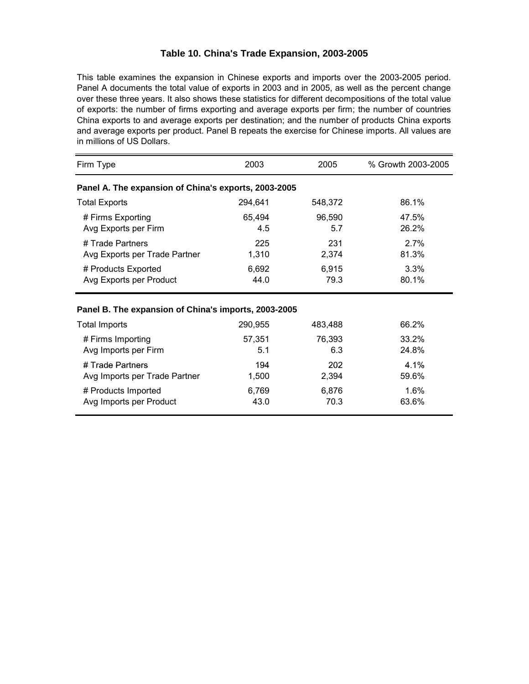#### **Table 10. China's Trade Expansion, 2003-2005**

China exports to and average exports per destination; and the number of products China exports in millions of US Dollars. This table examines the expansion in Chinese exports and imports over the 2003-2005 period. Panel A documents the total value of exports in 2003 and in 2005, as well as the percent change over these three years. It also shows these statistics for different decompositions of the total value of exports: the number of firms exporting and average exports per firm; the number of countries and average exports per product. Panel B repeats the exercise for Chinese imports. All values are

| Firm Type                                            | 2003    | 2005    | % Growth 2003-2005 |  |  |  |  |  |  |  |
|------------------------------------------------------|---------|---------|--------------------|--|--|--|--|--|--|--|
| Panel A. The expansion of China's exports, 2003-2005 |         |         |                    |  |  |  |  |  |  |  |
| <b>Total Exports</b>                                 | 294,641 | 548,372 | 86.1%              |  |  |  |  |  |  |  |
| # Firms Exporting                                    | 65,494  | 96,590  | 47.5%              |  |  |  |  |  |  |  |
| Avg Exports per Firm                                 | 4.5     | 5.7     | 26.2%              |  |  |  |  |  |  |  |
| # Trade Partners                                     | 225     | 231     | 2.7%               |  |  |  |  |  |  |  |
| Avg Exports per Trade Partner                        | 1,310   | 2,374   | 81.3%              |  |  |  |  |  |  |  |
| # Products Exported                                  | 6,692   | 6,915   | 3.3%               |  |  |  |  |  |  |  |
| Avg Exports per Product                              | 44.0    | 79.3    | 80.1%              |  |  |  |  |  |  |  |
| Panel B. The expansion of China's imports, 2003-2005 |         |         |                    |  |  |  |  |  |  |  |
| <b>Total Imports</b>                                 | 290,955 | 483,488 | 66.2%              |  |  |  |  |  |  |  |
| # Firms Importing                                    | 57,351  | 76,393  | 33.2%              |  |  |  |  |  |  |  |
| Avg Imports per Firm                                 | 5.1     | 6.3     | 24.8%              |  |  |  |  |  |  |  |
| # Trade Partners                                     | 194     | 202     | $4.1\%$            |  |  |  |  |  |  |  |
| Avg Imports per Trade Partner                        | 1,500   | 2,394   | 59.6%              |  |  |  |  |  |  |  |
| # Products Imported                                  | 6,769   | 6,876   | 1.6%               |  |  |  |  |  |  |  |
| Avg Imports per Product                              | 43.0    | 70.3    | 63.6%              |  |  |  |  |  |  |  |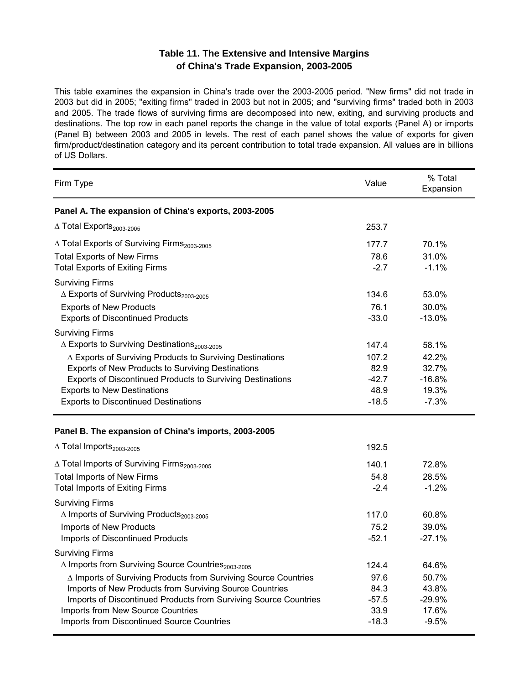## Table 11. The Extensive and Intensive Margins  **2003- of Chi n a's T r ade Expansi on, 2005**

This table examines the expansion in China's trade over the 2003-2005 period. "New firms" did not trade in 2003 but did in 2005; "exiting firms" traded in 2003 but not in 2005; and "surviving firms" traded both in 2003 and 2005. The trade flows of surviving firms are decomposed into new, exiting, and surviving products and destinations. The top row in each panel reports the change in the value of total exports (Panel A) or imports (Panel B) between 2003 and 2005 in levels. The rest of each panel shows the value of exports for given firm/product/destination category and its percent contribution to total trade expansion. All values are in billions of US Dollars.

| Firm Type                                                              | Value   | % Total<br>Expansion |
|------------------------------------------------------------------------|---------|----------------------|
| Panel A. The expansion of China's exports, 2003-2005                   |         |                      |
| △ Total Exports <sub>2003-2005</sub>                                   | 253.7   |                      |
| ∆ Total Exports of Surviving Firms <sub>2003-2005</sub>                | 177.7   | 70.1%                |
| <b>Total Exports of New Firms</b>                                      | 78.6    | 31.0%                |
| <b>Total Exports of Exiting Firms</b>                                  | $-2.7$  | $-1.1%$              |
| <b>Surviving Firms</b>                                                 |         |                      |
| $\triangle$ Exports of Surviving Products <sub>2003-2005</sub>         | 134.6   | 53.0%                |
| <b>Exports of New Products</b>                                         | 76.1    | 30.0%                |
| <b>Exports of Discontinued Products</b>                                | $-33.0$ | $-13.0%$             |
| <b>Surviving Firms</b>                                                 |         |                      |
| $\triangle$ Exports to Surviving Destinations <sub>2003-2005</sub>     | 147.4   | 58.1%                |
| ∆ Exports of Surviving Products to Surviving Destinations              | 107.2   | 42.2%                |
| Exports of New Products to Surviving Destinations                      | 82.9    | 32.7%                |
| <b>Exports of Discontinued Products to Surviving Destinations</b>      | $-42.7$ | $-16.8%$             |
| <b>Exports to New Destinations</b>                                     | 48.9    | 19.3%                |
| <b>Exports to Discontinued Destinations</b>                            | $-18.5$ | $-7.3%$              |
| Panel B. The expansion of China's imports, 2003-2005                   |         |                      |
| $\Delta$ Total Imports <sub>2003-2005</sub>                            | 192.5   |                      |
| ∆ Total Imports of Surviving Firms <sub>2003-2005</sub>                | 140.1   | 72.8%                |
| <b>Total Imports of New Firms</b>                                      | 54.8    | 28.5%                |
| <b>Total Imports of Exiting Firms</b>                                  | $-2.4$  | $-1.2%$              |
| <b>Surviving Firms</b>                                                 |         |                      |
| ∆ Imports of Surviving Products <sub>2003-2005</sub>                   | 117.0   | 60.8%                |
| <b>Imports of New Products</b>                                         | 75.2    | 39.0%                |
| Imports of Discontinued Products                                       | $-52.1$ | $-27.1%$             |
| <b>Surviving Firms</b>                                                 |         |                      |
| ∆ Imports from Surviving Source Countries <sub>2003-2005</sub>         | 124.4   | 64.6%                |
| $\Delta$ Imports of Surviving Products from Surviving Source Countries | 97.6    | 50.7%                |
| Imports of New Products from Surviving Source Countries                | 84.3    | 43.8%                |
| Imports of Discontinued Products from Surviving Source Countries       | $-57.5$ | $-29.9%$             |
| Imports from New Source Countries                                      | 33.9    | 17.6%                |
| Imports from Discontinued Source Countries                             | $-18.3$ | $-9.5%$              |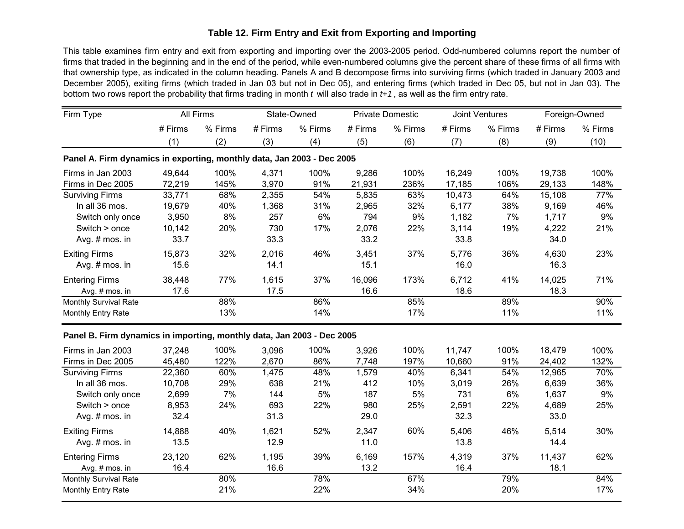#### Table 12. Firm Entry and Exit from Exporting and Importing **i**

This table examines firm entry and exit from exporting and importing over the 2003-2005 period. Odd-numbered columns report the number of firms that traded in the beginning and in the end of the period, while even-numbered columns give the percent share of these firms of all firms with that ownership type, as indicated in the column heading. Panels A and B decompose firms into surviving firms (which traded in January 2003 and December 2005), exiting firms (which traded in Jan 03 but not in Dec 05), and entering firms (which traded in Dec 05, but not in Jan 03). The bottom two rows report the probability that firms trading in month *t* will also trade in *t*+1, as well as the firm entry rate.

| All Firms |         | State-Owned |                | <b>Private Domestic</b> |                                                                                                                                                                    | Joint Ventures |                | Foreign-Owned |                |
|-----------|---------|-------------|----------------|-------------------------|--------------------------------------------------------------------------------------------------------------------------------------------------------------------|----------------|----------------|---------------|----------------|
| # Firms   | % Firms | # Firms     | % Firms        | # Firms                 | % Firms                                                                                                                                                            | # Firms        | % Firms        | # Firms       | % Firms        |
| (1)       | (2)     | (3)         | (4)            | (5)                     | (6)                                                                                                                                                                | (7)            | (8)            | (9)           | (10)           |
|           |         |             |                |                         |                                                                                                                                                                    |                |                |               |                |
| 49,644    | 100%    | 4,371       | 100%           | 9,286                   | 100%                                                                                                                                                               | 16,249         | 100%           | 19,738        | 100%           |
| 72,219    | 145%    | 3,970       | 91%            | 21,931                  | 236%                                                                                                                                                               | 17,185         | 106%           | 29,133        | 148%           |
| 33,771    | 68%     | 2,355       | 54%            | 5,835                   | 63%                                                                                                                                                                | 10,473         | 64%            | 15,108        | 77%            |
| 19,679    | 40%     | 1,368       | 31%            | 2,965                   | 32%                                                                                                                                                                | 6,177          | 38%            | 9,169         | 46%            |
| 3,950     | 8%      | 257         | 6%             | 794                     | 9%                                                                                                                                                                 | 1,182          | 7%             | 1,717         | 9%             |
| 10,142    | 20%     | 730         | 17%            | 2,076                   | 22%                                                                                                                                                                | 3,114          | 19%            | 4,222         | 21%            |
| 33.7      |         | 33.3        |                | 33.2                    |                                                                                                                                                                    | 33.8           |                | 34.0          |                |
|           |         |             |                |                         |                                                                                                                                                                    |                |                |               | 23%            |
| 15.6      |         | 14.1        |                | 15.1                    |                                                                                                                                                                    | 16.0           |                | 16.3          |                |
| 38,448    | 77%     | 1,615       | 37%            | 16,096                  | 173%                                                                                                                                                               | 6,712          | 41%            | 14,025        | 71%            |
| 17.6      |         | 17.5        |                | 16.6                    |                                                                                                                                                                    | 18.6           |                | 18.3          |                |
|           | 88%     |             | 86%            |                         | 85%                                                                                                                                                                |                | 89%            |               | 90%            |
|           | 13%     |             | 14%            |                         | 17%                                                                                                                                                                |                | 11%            |               | 11%            |
|           |         |             |                |                         |                                                                                                                                                                    |                |                |               |                |
| 37,248    | 100%    | 3,096       | 100%           | 3,926                   | 100%                                                                                                                                                               | 11,747         | 100%           | 18,479        | 100%           |
| 45,480    | 122%    | 2,670       | 86%            | 7,748                   | 197%                                                                                                                                                               | 10,660         | 91%            | 24,402        | 132%           |
| 22,360    | 60%     | 1,475       | 48%            | 1,579                   | 40%                                                                                                                                                                | 6,341          | 54%            | 12,965        | 70%            |
| 10,708    | 29%     | 638         | 21%            | 412                     | 10%                                                                                                                                                                | 3,019          | 26%            | 6,639         | 36%            |
| 2,699     | 7%      | 144         | 5%             | 187                     | 5%                                                                                                                                                                 | 731            | 6%             | 1,637         | 9%             |
| 8,953     | 24%     | 693         | 22%            | 980                     | 25%                                                                                                                                                                | 2,591          | 22%            | 4,689         | 25%            |
| 32.4      |         | 31.3        |                | 29.0                    |                                                                                                                                                                    | 32.3           |                | 33.0          |                |
| 14,888    | 40%     |             |                |                         | 60%                                                                                                                                                                |                | 46%            |               | 30%            |
| 13.5      |         | 12.9        |                | 11.0                    |                                                                                                                                                                    | 13.8           |                | 14.4          |                |
| 23,120    | 62%     | 1,195       | 39%            | 6,169                   | 157%                                                                                                                                                               | 4,319          | 37%            | 11,437        | 62%            |
| 16.4      |         | 16.6        |                | 13.2                    |                                                                                                                                                                    | 16.4           |                | 18.1          |                |
|           | 80%     |             | 78%            |                         | 67%                                                                                                                                                                |                | 79%            |               | 84%            |
|           | 21%     |             | 22%            |                         | 34%                                                                                                                                                                |                | 20%            |               | 17%            |
|           | 15,873  | 32%         | 2,016<br>1,621 | 46%<br>52%              | Panel A. Firm dynamics in exporting, monthly data, Jan 2003 - Dec 2005<br>3,451<br>Panel B. Firm dynamics in importing, monthly data, Jan 2003 - Dec 2005<br>2,347 | 37%            | 5,776<br>5,406 | 36%           | 4,630<br>5,514 |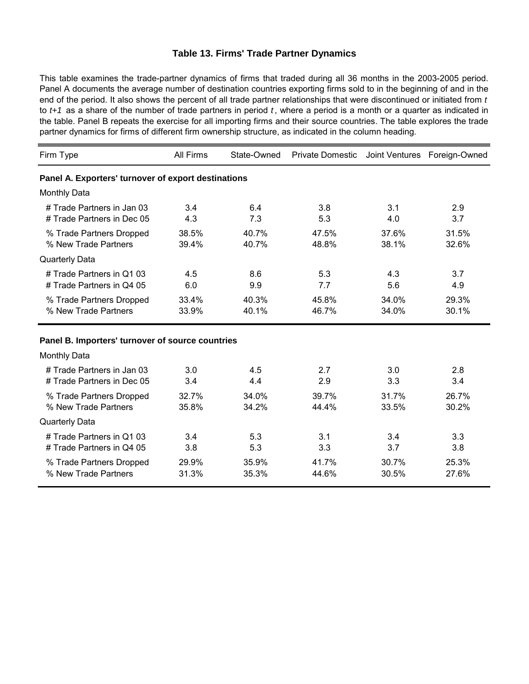#### **Table 13. Firms' Trade Partner Dynamics**

This table examines the trade-partner dynamics of firms that traded during all 36 months in the 2003-2005 period. Panel A documents the average number of destination countries exporting firms sold to in the beginning of and in the end of the period. It also shows the percent of all trade partner relationships that were discontinued or initiated from *t*  to *t*+1 as a share of the number of trade partners in period *t*, where a period is a month or a quarter as indicated in the table. Panel B repeats the exercise for all importing firms and their source countries. The table explores the trade partner dynamics for firms of different firm ownership structure, as indicated in the column heading.

| Firm Type                                           | <b>All Firms</b> | State-Owned | Private Domestic Joint Ventures Foreign-Owned |       |       |  |
|-----------------------------------------------------|------------------|-------------|-----------------------------------------------|-------|-------|--|
| Panel A. Exporters' turnover of export destinations |                  |             |                                               |       |       |  |
| <b>Monthly Data</b>                                 |                  |             |                                               |       |       |  |
| # Trade Partners in Jan 03                          | 3.4              | 6.4         | 3.8                                           | 3.1   | 2.9   |  |
| # Trade Partners in Dec 05                          | 4.3              | 7.3         | 5.3                                           | 4.0   | 3.7   |  |
| % Trade Partners Dropped                            | 38.5%            | 40.7%       | 47.5%                                         | 37.6% | 31.5% |  |
| % New Trade Partners                                | 39.4%            | 40.7%       | 48.8%                                         | 38.1% | 32.6% |  |
| <b>Quarterly Data</b>                               |                  |             |                                               |       |       |  |
| # Trade Partners in Q1 03                           | 4.5              | 8.6         | 5.3                                           | 4.3   | 3.7   |  |
| # Trade Partners in Q4 05                           | 6.0              | 9.9         | 7.7                                           | 5.6   | 4.9   |  |
| % Trade Partners Dropped                            | 33.4%            | 40.3%       | 45.8%                                         | 34.0% | 29.3% |  |
| % New Trade Partners                                | 33.9%            | 40.1%       | 46.7%                                         | 34.0% | 30.1% |  |
| Panel B. Importers' turnover of source countries    |                  |             |                                               |       |       |  |
| <b>Monthly Data</b>                                 |                  |             |                                               |       |       |  |
| # Trade Partners in Jan 03                          | 3.0              | 4.5         | 2.7                                           | 3.0   | 2.8   |  |
| # Trade Partners in Dec 05                          | 3.4              | 4.4         | 2.9                                           | 3.3   | 3.4   |  |
| % Trade Partners Dropped                            | 32.7%            | 34.0%       | 39.7%                                         | 31.7% | 26.7% |  |
| % New Trade Partners                                | 35.8%            | 34.2%       | 44.4%                                         | 33.5% | 30.2% |  |
| <b>Quarterly Data</b>                               |                  |             |                                               |       |       |  |
| # Trade Partners in Q1 03                           | 3.4              | 5.3         | 3.1                                           | 3.4   | 3.3   |  |
| # Trade Partners in Q4 05                           | 3.8              | 5.3         | 3.3                                           | 3.7   | 3.8   |  |
| % Trade Partners Dropped                            | 29.9%            | 35.9%       | 41.7%                                         | 30.7% | 25.3% |  |
| % New Trade Partners                                | 31.3%            | 35.3%       | 44.6%                                         | 30.5% | 27.6% |  |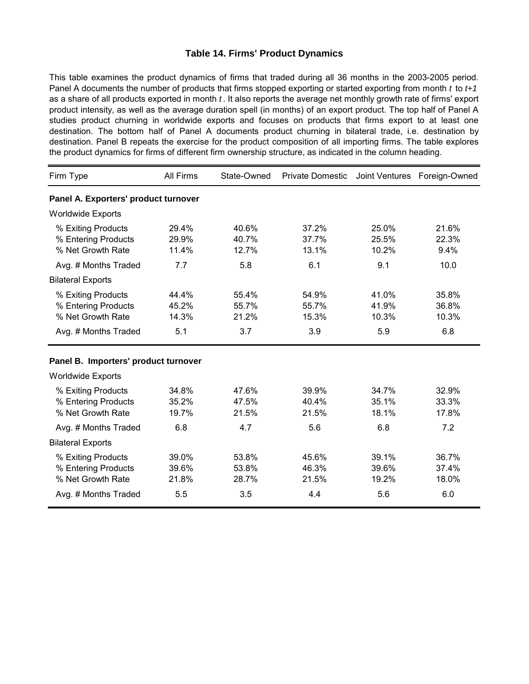#### **Table 14. Firms' Product Dynamics**

This table examines the product dynamics of firms that traded during all 36 months in the 2003-2005 period. Panel A documents the number of products that firms stopped exporting or started exporting from month *t* to *t+1*  as a share of all products exported in month *t*. It also reports the average net monthly growth rate of firms' export product intensity, as well as the average duration spell (in months) of an export product. The top half of Panel A studies product churning in worldwide exports and focuses on products that firms export to at least one destination. The bottom half of Panel A documents product churning in bilateral trade, i.e. destination by destination. Panel B repeats the exercise for the product composition of all importing firms. The table explores the product dynamics for firms of different firm ownership structure, as indicated in the column heading.

| Firm Type                                                      | All Firms               | State-Owned             | <b>Private Domestic</b> |                         | Joint Ventures Foreign-Owned |
|----------------------------------------------------------------|-------------------------|-------------------------|-------------------------|-------------------------|------------------------------|
| Panel A. Exporters' product turnover                           |                         |                         |                         |                         |                              |
| <b>Worldwide Exports</b>                                       |                         |                         |                         |                         |                              |
| % Exiting Products<br>% Entering Products<br>% Net Growth Rate | 29.4%<br>29.9%<br>11.4% | 40.6%<br>40.7%<br>12.7% | 37.2%<br>37.7%<br>13.1% | 25.0%<br>25.5%<br>10.2% | 21.6%<br>22.3%<br>9.4%       |
| Avg. # Months Traded                                           | 7.7                     | 5.8                     | 6.1                     | 9.1                     | 10.0                         |
| <b>Bilateral Exports</b>                                       |                         |                         |                         |                         |                              |
| % Exiting Products<br>% Entering Products<br>% Net Growth Rate | 44.4%<br>45.2%<br>14.3% | 55.4%<br>55.7%<br>21.2% | 54.9%<br>55.7%<br>15.3% | 41.0%<br>41.9%<br>10.3% | 35.8%<br>36.8%<br>10.3%      |
| Avg. # Months Traded                                           | 5.1                     | 3.7                     | 3.9                     | 5.9                     | 6.8                          |
| Panel B. Importers' product turnover                           |                         |                         |                         |                         |                              |
| <b>Worldwide Exports</b>                                       |                         |                         |                         |                         |                              |
| % Exiting Products<br>% Entering Products<br>% Net Growth Rate | 34.8%<br>35.2%<br>19.7% | 47.6%<br>47.5%<br>21.5% | 39.9%<br>40.4%<br>21.5% | 34.7%<br>35.1%<br>18.1% | 32.9%<br>33.3%<br>17.8%      |
| Avg. # Months Traded                                           | 6.8                     | 4.7                     | 5.6                     | 6.8                     | 7.2                          |
| <b>Bilateral Exports</b>                                       |                         |                         |                         |                         |                              |
| % Exiting Products<br>% Entering Products<br>% Net Growth Rate | 39.0%<br>39.6%<br>21.8% | 53.8%<br>53.8%<br>28.7% | 45.6%<br>46.3%<br>21.5% | 39.1%<br>39.6%<br>19.2% | 36.7%<br>37.4%<br>18.0%      |
| Avg. # Months Traded                                           | 5.5                     | 3.5                     | 4.4                     | 5.6                     | 6.0                          |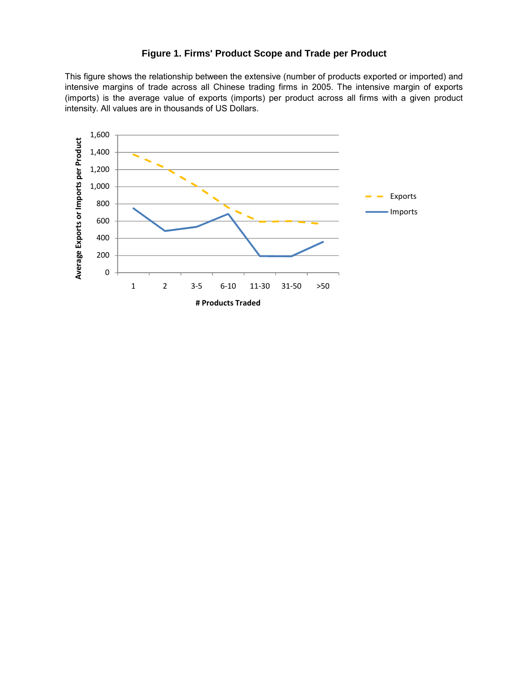#### **Figure 1. Firms' Product Scope and Trade per Product**

intensive margins of trade across all Chinese trading firms in 2005. The intensive margin of exports (imports) is the average value of exports (imports) per product across all firms with a given product intensity. All values are in thousands of US Dollars. This figure shows the relationship between the extensive (number of products exported or imported) and

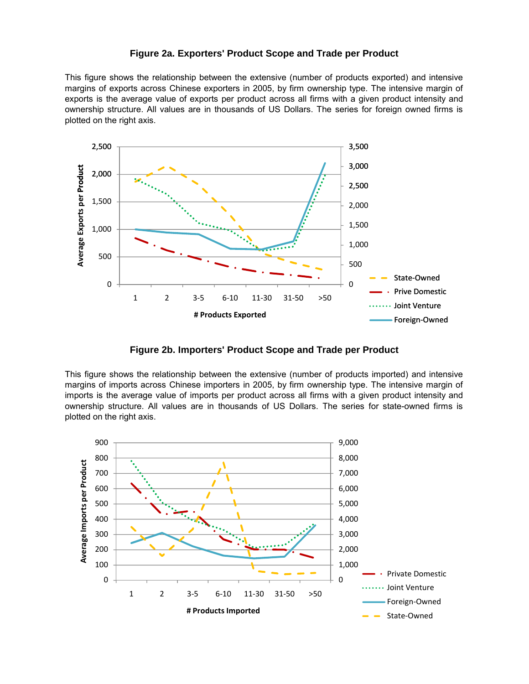#### **Figure 2a. Exporters' Product Scope and Trade per Product**

This figure shows the relationship between the extensive (number of products exported) and intensive margins of exports across Chinese exporters in 2005, by firm ownership type. The intensive margin of exports is the average value of exports per product across all firms with a given product intensity and ownership structure. All values are in thousands of US Dollars. The series for foreign owned firms is plotted on the right axis.



**Figure 2b. Importers' Product Scope and Trade per Product**

This figure shows the relationship between the extensive (number of products imported) and intensive margins of imports across Chinese importers in 2005, by firm ownership type. The intensive margin of imports is the average value of imports per product across all firms with a given product intensity and ownership structure. All values are in thousands of US Dollars. The series for state-owned firms is plotted on the right axis.

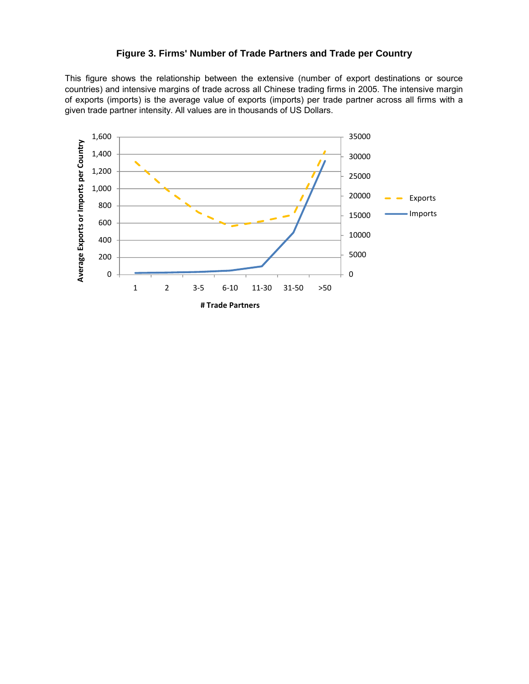#### **Figure 3. Firms' Number of Trade Partners and Trade per Country**

countries) and intensive margins of trade across all Chinese trading firms in 2005. The intensive margin of exports (imports) is the average value of exports (imports) per trade partner across all firms with a given trade partner intensity. All values are in thousands of US Dollars. This figure shows the relationship between the extensive (number of export destinations or source

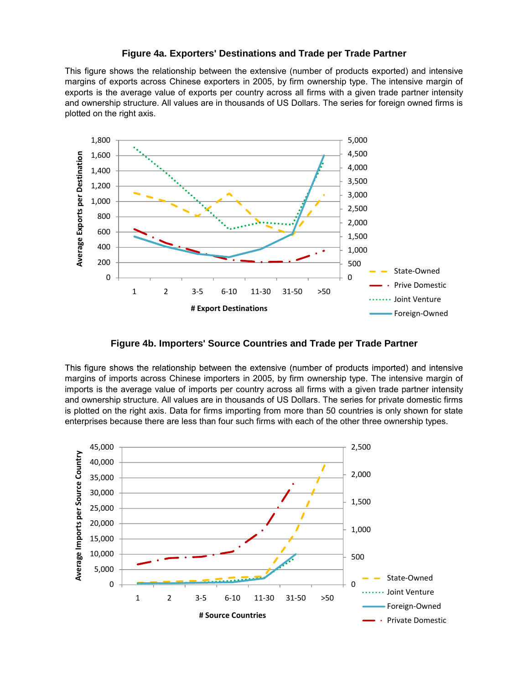#### **Figure 4a. Exporters' Destinations and Trade per Trade Partner**

This figure shows the relationship between the extensive (number of products exported) and intensive margins of exports across Chinese exporters in 2005, by firm ownership type. The intensive margin of exports is the average value of exports per country across all firms with a given trade partner intensity and ownership structure. All values are in thousands of US Dollars. The series for foreign owned firms is plotted on the right axis.



**Figure 4b. Importers' Source Countries and Trade per Trade Partner**

This figure shows the relationship between the extensive (number of products imported) and intensive<br>margins of imports across Chinese importers in 2005, by firm ownership type. The intensive margin of imports is the average value of imports per country across all firms with a given trade partner intensity and ownership structure. All values are in thousands of US Dollars. The series for private domestic firms is plotted on the right axis. Data for firms importing from more than 50 countries is only shown for state enterprises because there are less than four such firms with each of the other three ownership types.